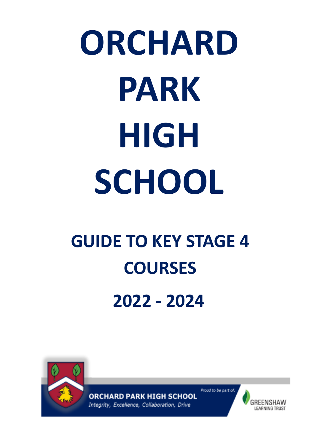# **ORCHARD PARK HIGH SCHOOL**

### **GUIDE TO KEY STAGE 4 COURSES 2022 - 2024**



**ORCHARD PARK HIGH SCHOOL** Integrity, Excellence, Collaboration, Drive

GREENSHAW **LEARNING TRUST** 

Proud to be part of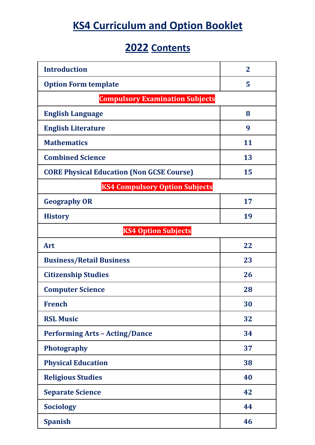#### **KS4 Curriculum and Option Booklet**

#### **2022 Contents**

| <b>Introduction</b>                              | $\mathbf{2}$ |  |  |  |
|--------------------------------------------------|--------------|--|--|--|
| <b>Option Form template</b>                      | 5            |  |  |  |
| <b>Compulsory Examination Subjects</b>           |              |  |  |  |
| <b>English Language</b>                          | 8            |  |  |  |
| <b>English Literature</b>                        | 9            |  |  |  |
| <b>Mathematics</b>                               | 11           |  |  |  |
| <b>Combined Science</b>                          | 13           |  |  |  |
| <b>CORE Physical Education (Non GCSE Course)</b> | 15           |  |  |  |
| <b>KS4 Compulsory Option Subjects</b>            |              |  |  |  |
| <b>Geography OR</b>                              | 17           |  |  |  |
| <b>History</b>                                   | 19           |  |  |  |
| <b>KS4 Option Subjects</b>                       |              |  |  |  |
| Art                                              | 22           |  |  |  |
| <b>Business/Retail Business</b>                  | 23           |  |  |  |
| <b>Citizenship Studies</b>                       | 26           |  |  |  |
| <b>Computer Science</b>                          | 28           |  |  |  |
| <b>French</b>                                    | 30           |  |  |  |
| <b>RSL Music</b>                                 | 32           |  |  |  |
| <b>Performing Arts - Acting/Dance</b>            | 34           |  |  |  |
| <b>Photography</b>                               | 37           |  |  |  |
| <b>Physical Education</b>                        | 38           |  |  |  |
| <b>Religious Studies</b>                         | 40           |  |  |  |
| <b>Separate Science</b>                          | 42           |  |  |  |
| <b>Sociology</b>                                 | 44           |  |  |  |
| <b>Spanish</b>                                   | 46           |  |  |  |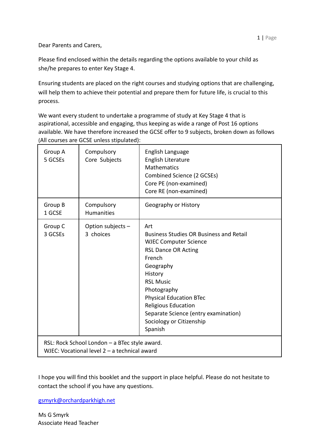Dear Parents and Carers,

Please find enclosed within the details regarding the options available to your child as she/he prepares to enter Key Stage 4.

Ensuring students are placed on the right courses and studying options that are challenging, will help them to achieve their potential and prepare them for future life, is crucial to this process.

We want every student to undertake a programme of study at Key Stage 4 that is aspirational, accessible and engaging, thus keeping as wide a range of Post 16 options available. We have therefore increased the GCSE offer to 9 subjects, broken down as follows (All courses are GCSE unless stipulated):

| Group A<br>5 GCSEs | Compulsory<br>Core Subjects                                                                   | English Language<br>English Literature<br><b>Mathematics</b><br>Combined Science (2 GCSEs)<br>Core PE (non-examined)<br>Core RE (non-examined)                                                                                                                                                                                   |
|--------------------|-----------------------------------------------------------------------------------------------|----------------------------------------------------------------------------------------------------------------------------------------------------------------------------------------------------------------------------------------------------------------------------------------------------------------------------------|
| Group B<br>1 GCSE  | Compulsory<br><b>Humanities</b>                                                               | Geography or History                                                                                                                                                                                                                                                                                                             |
| Group C<br>3 GCSEs | Option subjects -<br>3 choices                                                                | Art<br><b>Business Studies OR Business and Retail</b><br><b>WJEC Computer Science</b><br><b>RSL Dance OR Acting</b><br>French<br>Geography<br>History<br><b>RSL Music</b><br>Photography<br><b>Physical Education BTec</b><br>Religious Education<br>Separate Science (entry examination)<br>Sociology or Citizenship<br>Spanish |
|                    | RSL: Rock School London - a BTec style award.<br>WJEC: Vocational level 2 - a technical award |                                                                                                                                                                                                                                                                                                                                  |

I hope you will find this booklet and the support in place helpful. Please do not hesitate to contact the school if you have any questions.

gsmyrk@orchardparkhigh.net

Ms G Smyrk Associate Head Teacher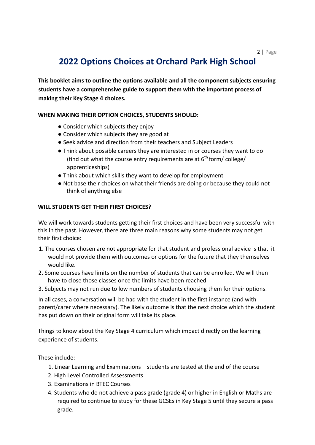#### **2022 Options Choices at Orchard Park High School**

**This booklet aims to outline the options available and all the component subjects ensuring students have a comprehensive guide to support them with the important process of making their Key Stage 4 choices.**

#### **WHEN MAKING THEIR OPTION CHOICES, STUDENTS SHOULD:**

- Consider which subjects they enjoy
- Consider which subjects they are good at
- Seek advice and direction from their teachers and Subject Leaders
- Think about possible careers they are interested in or courses they want to do (find out what the course entry requirements are at  $6<sup>th</sup>$  form/ college/ apprenticeships)
- Think about which skills they want to develop for employment
- Not base their choices on what their friends are doing or because they could not think of anything else

#### **WILL STUDENTS GET THEIR FIRST CHOICES?**

We will work towards students getting their first choices and have been very successful with this in the past. However, there are three main reasons why some students may not get their first choice:

- 1. The courses chosen are not appropriate for that student and professional advice is that it would not provide them with outcomes or options for the future that they themselves would like.
- 2. Some courses have limits on the number of students that can be enrolled. We will then have to close those classes once the limits have been reached
- 3. Subjects may not run due to low numbers of students choosing them for their options.

In all cases, a conversation will be had with the student in the first instance (and with parent/carer where necessary). The likely outcome is that the next choice which the student has put down on their original form will take its place.

Things to know about the Key Stage 4 curriculum which impact directly on the learning experience of students.

These include:

- 1. Linear Learning and Examinations students are tested at the end of the course
- 2. High Level Controlled Assessments
- 3. Examinations in BTEC Courses
- 4. Students who do not achieve a pass grade (grade 4) or higher in English or Maths are required to continue to study for these GCSEs in Key Stage 5 until they secure a pass grade.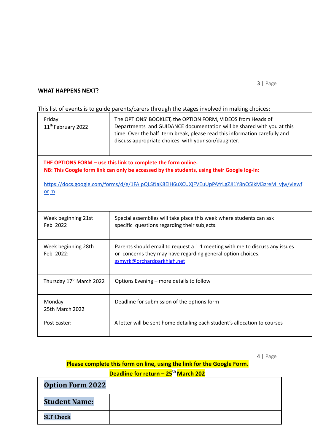#### **WHAT HAPPENS NEXT?**

This list of events is to guide parents/carers through the stages involved in making choices:

| Friday<br>11 <sup>th</sup> February 2022 | The OPTIONS' BOOKLET, the OPTION FORM, VIDEOS from Heads of<br>Departments and GUIDANCE documentation will be shared with you at this<br>time. Over the half term break, please read this information carefully and<br>discuss appropriate choices with your son/daughter. |  |  |  |
|------------------------------------------|----------------------------------------------------------------------------------------------------------------------------------------------------------------------------------------------------------------------------------------------------------------------------|--|--|--|
|                                          | THE OPTIONS FORM - use this link to complete the form online.<br>NB: This Google form link can only be accessed by the students, using their Google log-in:                                                                                                                |  |  |  |
| or m                                     | https://docs.google.com/forms/d/e/1FAIpQLSfJaK8EiH6uXCUXjFVEuUpPAYrLgZJI1Y8nQ5ikM3zreM_vjw/viewf                                                                                                                                                                           |  |  |  |
| Week beginning 21st<br>Feb 2022          | Special assemblies will take place this week where students can ask<br>specific questions regarding their subjects.                                                                                                                                                        |  |  |  |
| Week beginning 28th<br>Feb 2022:         | Parents should email to request a 1:1 meeting with me to discuss any issues<br>or concerns they may have regarding general option choices.<br>gsmyrk@orchardparkhigh.net                                                                                                   |  |  |  |
| Thursday 17 <sup>th</sup> March 2022     | Options Evening - more details to follow                                                                                                                                                                                                                                   |  |  |  |
| Monday<br>25th March 2022                | Deadline for submission of the options form                                                                                                                                                                                                                                |  |  |  |
| Post Easter:                             | A letter will be sent home detailing each student's allocation to courses                                                                                                                                                                                                  |  |  |  |

4 | Page

#### **Please complete this form on line, using the link for the Google Form.**

**Deadline for return – 25th March 202**

| <b>Option Form 2022</b> |  |
|-------------------------|--|
| <b>Student Name:</b>    |  |
| <b>SLT Check</b>        |  |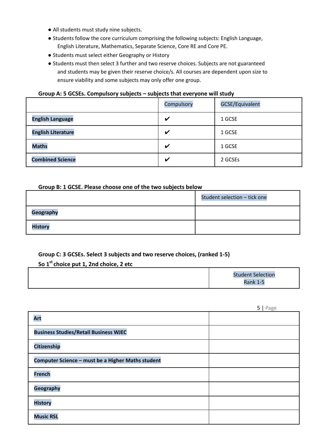- All students must study nine subjects.
- Students follow the core curriculum comprising the following subjects: English Language, English Literature, Mathematics, Separate Science, Core RE and Core PE.
- Students must select either Geography or History
- Students must then select 3 further and two reserve choices. Subjects are not guaranteed and students may be given their reserve choice/s. All courses are dependent upon size to ensure viability and some subjects may only offer one group.

#### **Group A: 5 GCSEs. Compulsory subjects – subjects that everyone will study**

|                           | Compulsory                 | <b>GCSE/Equivalent</b> |
|---------------------------|----------------------------|------------------------|
| <b>English Language</b>   | V                          | 1 GCSE                 |
| <b>English Literature</b> | V                          | 1 GCSE                 |
| <b>Maths</b>              | V                          | 1 GCSE                 |
| <b>Combined Science</b>   | $\boldsymbol{\mathcal{U}}$ | 2 GCSEs                |

#### **Group B: 1 GCSE. Please choose one of the two subjects below**

|                  | Student selection - tick one |
|------------------|------------------------------|
| <b>Geography</b> |                              |
| <b>History</b>   |                              |

#### **Group C: 3 GCSEs. Select 3 subjects and two reserve choices, (ranked 1-5)**

#### **So 1st choice put 1, 2nd choice, 2 etc**

|  |  | <b>Student Selection</b><br><b>Rank 1-5</b> |
|--|--|---------------------------------------------|
|--|--|---------------------------------------------|

|                                                   | $J \mid \text{rage}$ |
|---------------------------------------------------|----------------------|
| <b>Art</b>                                        |                      |
| <b>Business Studies/Retail Business WJEC</b>      |                      |
| Citizenship                                       |                      |
| Computer Science - must be a Higher Maths student |                      |
| <b>French</b>                                     |                      |
| Geography                                         |                      |
| <b>History</b>                                    |                      |
| <b>Music RSL</b>                                  |                      |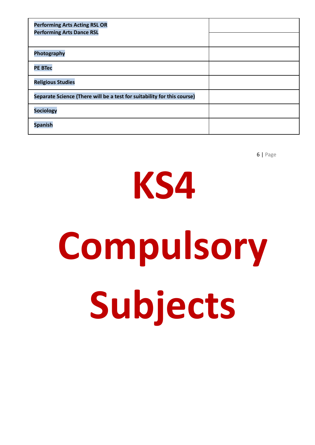# **KS4 Compulsory Subjects**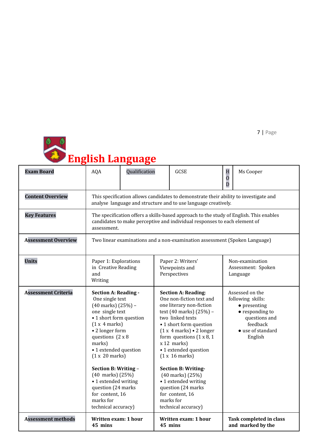

# **English Language**

| <b>Exam Board</b>          | <b>AQA</b>                                                                                                                                                                                                                                                                                                                                                                               | Qualification                                                                                                                                                       | H<br><b>GCSE</b><br>$\overline{0}$<br>D                                                                                                                                                                                                                                                                                                                                                                                                                         |  | Ms Cooper                                                                                                                                    |  |
|----------------------------|------------------------------------------------------------------------------------------------------------------------------------------------------------------------------------------------------------------------------------------------------------------------------------------------------------------------------------------------------------------------------------------|---------------------------------------------------------------------------------------------------------------------------------------------------------------------|-----------------------------------------------------------------------------------------------------------------------------------------------------------------------------------------------------------------------------------------------------------------------------------------------------------------------------------------------------------------------------------------------------------------------------------------------------------------|--|----------------------------------------------------------------------------------------------------------------------------------------------|--|
| <b>Content Overview</b>    |                                                                                                                                                                                                                                                                                                                                                                                          | This specification allows candidates to demonstrate their ability to investigate and<br>analyse language and structure and to use language creatively.              |                                                                                                                                                                                                                                                                                                                                                                                                                                                                 |  |                                                                                                                                              |  |
| <b>Key Features</b>        | assessment.                                                                                                                                                                                                                                                                                                                                                                              | The specification offers a skills-based approach to the study of English. This enables<br>candidates to make perceptive and individual responses to each element of |                                                                                                                                                                                                                                                                                                                                                                                                                                                                 |  |                                                                                                                                              |  |
| <b>Assessment Overview</b> |                                                                                                                                                                                                                                                                                                                                                                                          |                                                                                                                                                                     | Two linear examinations and a non-examination assessment (Spoken Language)                                                                                                                                                                                                                                                                                                                                                                                      |  |                                                                                                                                              |  |
| <b>Units</b>               | Paper 1: Explorations<br>in Creative Reading<br>and<br>Writing                                                                                                                                                                                                                                                                                                                           |                                                                                                                                                                     | Paper 2: Writers'<br>Viewpoints and<br>Perspectives                                                                                                                                                                                                                                                                                                                                                                                                             |  | Non-examination<br>Assessment: Spoken<br>Language                                                                                            |  |
| <b>Assessment Criteria</b> | <b>Section A: Reading -</b><br>One single text<br>(40 marks) (25%) -<br>one single text<br>• 1 short form question<br>(1 x 4 marks)<br>• 2 longer form<br>questions $(2 \times 8)$<br>marks)<br>• 1 extended question<br>(1 x 20 marks)<br>Section B: Writing -<br>(40 marks) (25%)<br>• 1 extended writing<br>question (24 marks<br>for content, 16<br>marks for<br>technical accuracy) |                                                                                                                                                                     | <b>Section A: Reading:</b><br>One non-fiction text and<br>one literary non-fiction<br>text (40 marks) (25%) -<br>two linked texts<br>• 1 short form question<br>$(1 x 4 marks) \cdot 2 longer$<br>form questions $(1 \times 8, 1)$<br>$x 12$ marks)<br>• 1 extended question<br>(1 x 16 marks)<br><b>Section B: Writing-</b><br>$(40 \text{ marks}) (25%)$<br>• 1 extended writing<br>question (24 marks<br>for content, 16<br>marks for<br>technical accuracy) |  | Assessed on the<br>following skills:<br>$\bullet$ presenting<br>• responding to<br>questions and<br>feedback<br>• use of standard<br>English |  |
| <b>Assessment methods</b>  | Written exam: 1 hour<br>45 mins                                                                                                                                                                                                                                                                                                                                                          |                                                                                                                                                                     | Written exam: 1 hour<br>45 mins                                                                                                                                                                                                                                                                                                                                                                                                                                 |  | <b>Task completed in class</b><br>and marked by the                                                                                          |  |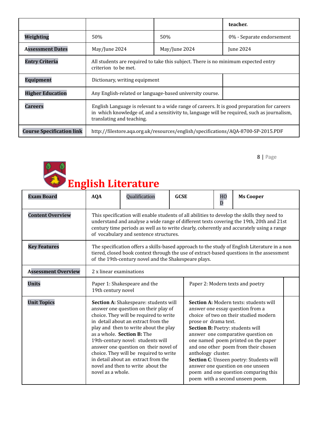|                                  |                                                                                                                                                                                                                         | teacher.         |  |  |  |  |
|----------------------------------|-------------------------------------------------------------------------------------------------------------------------------------------------------------------------------------------------------------------------|------------------|--|--|--|--|
| Weighting                        | 50%                                                                                                                                                                                                                     | 50%              |  |  |  |  |
| <b>Assessment Dates</b>          | May/June 2024                                                                                                                                                                                                           | <b>Iune 2024</b> |  |  |  |  |
| <b>Entry Criteria</b>            | All students are required to take this subject. There is no minimum expected entry<br>criterion to be met.                                                                                                              |                  |  |  |  |  |
| <b>Equipment</b>                 | Dictionary, writing equipment                                                                                                                                                                                           |                  |  |  |  |  |
| <b>Higher Education</b>          | Any English-related or language-based university course.                                                                                                                                                                |                  |  |  |  |  |
| <b>Careers</b>                   | English Language is relevant to a wide range of careers. It is good preparation for careers<br>in which knowledge of, and a sensitivity to, language will be required, such as journalism,<br>translating and teaching. |                  |  |  |  |  |
| <b>Course Specification link</b> | http://filestore.aqa.org.uk/resources/english/specifications/AQA-8700-SP-2015.PDF                                                                                                                                       |                  |  |  |  |  |



| <b>Exam Board</b>          | <b>AQA</b>                                                                                                                                                                                                                                                                                                                    | Qualification                                                                                                                                                                                                                                                                                                                                                                                                                             | <b>GCSE</b> |                                            | HO<br>D | <b>Ms Cooper</b>                                                                                                                                                                                                                                                                                                                                                                                                                        |  |
|----------------------------|-------------------------------------------------------------------------------------------------------------------------------------------------------------------------------------------------------------------------------------------------------------------------------------------------------------------------------|-------------------------------------------------------------------------------------------------------------------------------------------------------------------------------------------------------------------------------------------------------------------------------------------------------------------------------------------------------------------------------------------------------------------------------------------|-------------|--------------------------------------------|---------|-----------------------------------------------------------------------------------------------------------------------------------------------------------------------------------------------------------------------------------------------------------------------------------------------------------------------------------------------------------------------------------------------------------------------------------------|--|
| <b>Content Overview</b>    | This specification will enable students of all abilities to develop the skills they need to<br>understand and analyse a wide range of different texts covering the 19th, 20th and 21st<br>century time periods as well as to write clearly, coherently and accurately using a range<br>of vocabulary and sentence structures. |                                                                                                                                                                                                                                                                                                                                                                                                                                           |             |                                            |         |                                                                                                                                                                                                                                                                                                                                                                                                                                         |  |
| <b>Key Features</b>        | The specification offers a skills-based approach to the study of English Literature in a non<br>tiered, closed book context through the use of extract-based questions in the assessment<br>of the 19th-century novel and the Shakespeare plays.                                                                              |                                                                                                                                                                                                                                                                                                                                                                                                                                           |             |                                            |         |                                                                                                                                                                                                                                                                                                                                                                                                                                         |  |
| <b>Assessment Overview</b> | 2 x linear examinations                                                                                                                                                                                                                                                                                                       |                                                                                                                                                                                                                                                                                                                                                                                                                                           |             |                                            |         |                                                                                                                                                                                                                                                                                                                                                                                                                                         |  |
| <b>Units</b>               |                                                                                                                                                                                                                                                                                                                               | Paper 1: Shakespeare and the<br>Paper 2: Modern texts and poetry<br>19th century novel                                                                                                                                                                                                                                                                                                                                                    |             |                                            |         |                                                                                                                                                                                                                                                                                                                                                                                                                                         |  |
| <b>Unit Topics</b>         | novel as a whole.                                                                                                                                                                                                                                                                                                             | Section A: Shakespeare: students will<br>answer one question on their play of<br>choice. They will be required to write<br>in detail about an extract from the<br>play and then to write about the play<br>as a whole. Section B: The<br>19th-century novel: students will<br>answer one question on their novel of<br>choice. They will be required to write<br>in detail about an extract from the<br>novel and then to write about the |             | prose or drama text.<br>anthology cluster. |         | Section A: Modern texts: students will<br>answer one essay question from a<br>choice of two on their studied modern<br>Section B: Poetry: students will<br>answer one comparative question on<br>one named poem printed on the paper<br>and one other poem from their chosen<br>Section C: Unseen poetry: Students will<br>answer one question on one unseen<br>poem and one question comparing this<br>poem with a second unseen poem. |  |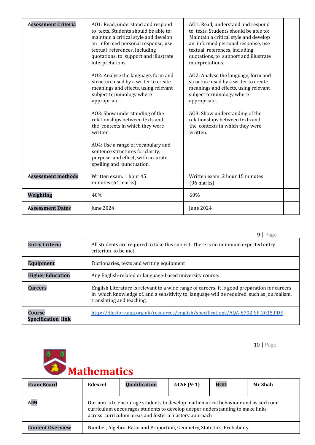| <b>Assessment Criteria</b> | A01: Read, understand and respond<br>to texts. Students should be able to:<br>maintain a critical style and develop<br>an informed personal response, use<br>textual references, including<br>quotations, to support and illustrate<br>interpretations. | AO1: Read, understand and respond<br>to texts. Students should be able to:<br>Maintain a critical style and develop<br>an informed personal response, use<br>textual references, including<br>quotations, to support and illustrate<br>interpretations. |  |
|----------------------------|---------------------------------------------------------------------------------------------------------------------------------------------------------------------------------------------------------------------------------------------------------|---------------------------------------------------------------------------------------------------------------------------------------------------------------------------------------------------------------------------------------------------------|--|
|                            | AO2: Analyse the language, form and<br>structure used by a writer to create<br>meanings and effects, using relevant<br>subject terminology where<br>appropriate.                                                                                        | AO2: Analyse the language, form and<br>structure used by a writer to create<br>meanings and effects, using relevant<br>subject terminology where<br>appropriate.                                                                                        |  |
|                            | A03: Show understanding of the<br>relationships between texts and<br>the contexts in which they were<br>written.                                                                                                                                        | A03: Show understanding of the<br>relationships between texts and<br>the contexts in which they were<br>written.                                                                                                                                        |  |
|                            | AO4: Use a range of vocabulary and<br>sentence structures for clarity,<br>purpose and effect, with accurate<br>spelling and punctuation.                                                                                                                |                                                                                                                                                                                                                                                         |  |
| <b>Assessment methods</b>  | Written exam: 1 hour 45<br>minutes (64 marks)                                                                                                                                                                                                           | Written exam: 2 hour 15 minutes<br>$(96$ marks)                                                                                                                                                                                                         |  |
| Weighting                  | 40%                                                                                                                                                                                                                                                     | 60%                                                                                                                                                                                                                                                     |  |
| <b>Assessment Dates</b>    | June 2024                                                                                                                                                                                                                                               | June 2024                                                                                                                                                                                                                                               |  |

|                                            | q<br>Page                                                                                                                                                                                                                 |
|--------------------------------------------|---------------------------------------------------------------------------------------------------------------------------------------------------------------------------------------------------------------------------|
| <b>Entry Criteria</b>                      | All students are required to take this subject. There is no minimum expected entry<br>criterion to be met.                                                                                                                |
| <b>Equipment</b>                           | Dictionaries, texts and writing equipment                                                                                                                                                                                 |
| <b>Higher Education</b>                    | Any English-related or language-based university course.                                                                                                                                                                  |
| <b>Careers</b>                             | English Literature is relevant to a wide range of careers. It is good preparation for careers<br>in which knowledge of, and a sensitivity to, language will be required, such as journalism,<br>translating and teaching. |
| <b>Course</b><br><b>Specification link</b> | http://filestore.aqa.org.uk/resources/english/specifications/AQA-8702-SP-2015.PDF                                                                                                                                         |

# **Mathematics**

| <b>Exam Board</b>       | Edexcel                                                                                                                                                                                                                     | Qualification | $GCSE(9-1)$ | <b>HOD</b> | <b>Mr Shah</b> |  |  |
|-------------------------|-----------------------------------------------------------------------------------------------------------------------------------------------------------------------------------------------------------------------------|---------------|-------------|------------|----------------|--|--|
| <b>AIM</b>              | Our aim is to encourage students to develop mathematical behaviour and as such our<br>curriculum encourages students to develop deeper understanding to make links<br>across curriculum areas and foster a mastery approach |               |             |            |                |  |  |
| <b>Content Overview</b> | Number, Algebra, Ratio and Proportion, Geometry, Statistics, Probability                                                                                                                                                    |               |             |            |                |  |  |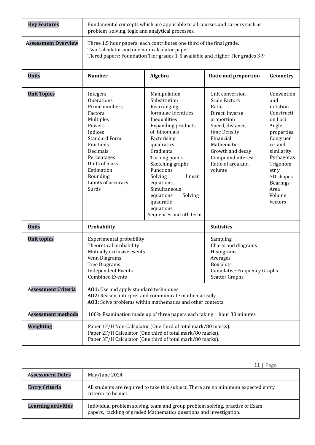| <b>Key Features</b>        | Fundamental concepts which are applicable to all courses and careers such as<br>problem solving, logic and analytical processes.                                                                                                                                                                                                 |                                                                                                                                                                                                                                                                                                                                                            |                                                                                                                                                                                                                           |                                                                                                                                                                                                                   |  |  |
|----------------------------|----------------------------------------------------------------------------------------------------------------------------------------------------------------------------------------------------------------------------------------------------------------------------------------------------------------------------------|------------------------------------------------------------------------------------------------------------------------------------------------------------------------------------------------------------------------------------------------------------------------------------------------------------------------------------------------------------|---------------------------------------------------------------------------------------------------------------------------------------------------------------------------------------------------------------------------|-------------------------------------------------------------------------------------------------------------------------------------------------------------------------------------------------------------------|--|--|
| <b>Assessment Overview</b> | Two Calculator and one non-calculator paper                                                                                                                                                                                                                                                                                      | Three 1.5 hour papers: each contributes one third of the final grade.<br>Tiered papers: Foundation Tier grades 1-5 available and Higher Tier grades 3-9                                                                                                                                                                                                    |                                                                                                                                                                                                                           |                                                                                                                                                                                                                   |  |  |
| <b>Units</b>               | <b>Number</b>                                                                                                                                                                                                                                                                                                                    | Algebra                                                                                                                                                                                                                                                                                                                                                    | <b>Ratio and proportion</b>                                                                                                                                                                                               | Geometry                                                                                                                                                                                                          |  |  |
| <b>Unit Topics</b>         | Integers<br>Operations<br>Prime numbers<br>Factors<br>Multiples<br>Powers<br>Indices<br><b>Standard Form</b><br>Fractions<br>Decimals<br>Percentages<br>Units of mass<br>Estimation<br>Rounding<br>Limits of accuracy<br>Surds                                                                                                   | Manipulation<br>Substitution<br>Rearranging<br>formulae Identities<br>Inequalities<br><b>Expanding products</b><br>of binomials<br>Factorising<br>quadratics<br>Gradients<br>Turning points<br>Sketching graphs<br>Functions<br>Solving<br>linear<br>equations<br>Simultaneous<br>Solving<br>equations<br>quadratic<br>equations<br>Sequences and nth term | Unit conversion<br><b>Scale Factors</b><br>Ratio<br>Direct, inverse<br>proportion<br>Speed, distance,<br>time Density<br>Financial<br>Mathematics<br>Growth and decay<br>Compound interest<br>Ratio of area and<br>volume | Convention<br>and<br>notation<br>Constructi<br>on Loci<br>Angle<br>properties<br>Congruen<br>ce and<br>similarity<br>Pythagoras<br>Trigonom<br>etr y<br>3D shapes<br><b>Bearings</b><br>Area<br>Volume<br>Vectors |  |  |
| <b>Units</b>               | Probability                                                                                                                                                                                                                                                                                                                      |                                                                                                                                                                                                                                                                                                                                                            | <b>Statistics</b>                                                                                                                                                                                                         |                                                                                                                                                                                                                   |  |  |
| <b>Unit topics</b>         | <b>Experimental probability</b><br>Sampling<br>Theoretical probability<br>Charts and diagrams<br>Mutually exclusive events<br>Histograms<br>Venn Diagrams<br>Averages<br><b>Tree Diagrams</b><br>Box plots<br><b>Independent Events</b><br><b>Cumulative Frequency Graphs</b><br><b>Combined Events</b><br><b>Scatter Graphs</b> |                                                                                                                                                                                                                                                                                                                                                            |                                                                                                                                                                                                                           |                                                                                                                                                                                                                   |  |  |
| <b>Assessment Criteria</b> | AO1: Use and apply standard techniques<br>AO2: Reason, interpret and communicate mathematically<br>A03: Solve problems within mathematics and other contexts                                                                                                                                                                     |                                                                                                                                                                                                                                                                                                                                                            |                                                                                                                                                                                                                           |                                                                                                                                                                                                                   |  |  |
| <b>Assessment methods</b>  |                                                                                                                                                                                                                                                                                                                                  | 100% Examination made up of three papers each taking 1 hour 30 minutes                                                                                                                                                                                                                                                                                     |                                                                                                                                                                                                                           |                                                                                                                                                                                                                   |  |  |
| Weighting                  |                                                                                                                                                                                                                                                                                                                                  | Paper 1F/H Non-Calculator (One third of total mark/80 marks).<br>Paper 2F/H Calculator (One third of total mark/80 marks).<br>Paper 3F/H Calculator (One third of total mark/80 marks).                                                                                                                                                                    |                                                                                                                                                                                                                           |                                                                                                                                                                                                                   |  |  |

| <b>Assessment Dates</b>    | May/June 2024                                                                                                                                       |
|----------------------------|-----------------------------------------------------------------------------------------------------------------------------------------------------|
| <b>Entry Criteria</b>      | All students are required to take this subject. There are no minimum expected entry<br>criteria to be met.                                          |
| <b>Learning activities</b> | Individual problem solving, team and group problem solving, practise of Exam<br>papers, tackling of graded Mathematics questions and investigation. |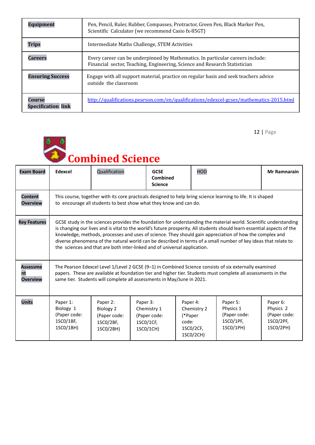| <b>Equipment</b>                    | Pen, Pencil, Ruler, Rubber, Compasses, Protractor, Green Pen, Black Marker Pen,<br>Scientific Calculator (we recommend Casio fx-85GT)                        |
|-------------------------------------|--------------------------------------------------------------------------------------------------------------------------------------------------------------|
| <b>Trips</b>                        | Intermediate Maths Challenge, STEM Activities                                                                                                                |
| Careers                             | Every career can be underpinned by Mathematics. In particular careers include:<br>Financial sector, Teaching, Engineering, Science and Research Statistician |
| <b>Ensuring Success</b>             | Engage with all support material, practice on regular basis and seek teachers advice<br>outside the classroom                                                |
| Course<br><b>Specification link</b> | http://qualifications.pearson.com/en/qualifications/edexcel-gcses/mathematics-2015.html                                                                      |



| <b>Exam Board</b>                        | Edexcel                                                                                                                                                                                                                                                                                                                                                                                                                                                                                                                                                | Qualification                                                          | <b>GCSE</b><br>Combined<br><b>Science</b>                         | <b>HOD</b>                                                            |                                                                 | <b>Mr Ramnarain</b>                                             |  |
|------------------------------------------|--------------------------------------------------------------------------------------------------------------------------------------------------------------------------------------------------------------------------------------------------------------------------------------------------------------------------------------------------------------------------------------------------------------------------------------------------------------------------------------------------------------------------------------------------------|------------------------------------------------------------------------|-------------------------------------------------------------------|-----------------------------------------------------------------------|-----------------------------------------------------------------|-----------------------------------------------------------------|--|
| <b>Content</b><br><b>Overview</b>        | This course, together with its core practicals designed to help bring science learning to life. It is shaped<br>to encourage all students to best show what they know and can do.                                                                                                                                                                                                                                                                                                                                                                      |                                                                        |                                                                   |                                                                       |                                                                 |                                                                 |  |
| <b>Key Features</b>                      | GCSE study in the sciences provides the foundation for understanding the material world. Scientific understanding<br>is changing our lives and is vital to the world's future prosperity. All students should learn essential aspects of the<br>knowledge, methods, processes and uses of science. They should gain appreciation of how the complex and<br>diverse phenomena of the natural world can be described in terms of a small number of key ideas that relate to<br>the sciences and that are both inter-linked and of universal application. |                                                                        |                                                                   |                                                                       |                                                                 |                                                                 |  |
| <b>Assessme</b><br>nt<br><b>Overview</b> | The Pearson Edexcel Level 1/Level 2 GCSE (9-1) in Combined Science consists of six externally examined<br>papers. These are available at foundation tier and higher tier. Students must complete all assessments in the<br>same tier. Students will complete all assessments in May/June in 2021.                                                                                                                                                                                                                                                      |                                                                        |                                                                   |                                                                       |                                                                 |                                                                 |  |
| <b>Units</b>                             | Paper 1:<br>Biology 1<br>(Paper code:<br>1SC0/1BF,<br>1SC0/1BH)                                                                                                                                                                                                                                                                                                                                                                                                                                                                                        | Paper 2:<br><b>Biology 2</b><br>(Paper code:<br>1SC0/2BF,<br>1SC0/2BH) | Paper 3:<br>Chemistry 1<br>(Paper code:<br>1SC0/1CF,<br>1SC0/1CH) | Paper 4:<br>Chemistry 2<br>(*Paper<br>code:<br>1SC0/2CF,<br>1SC0/2CH) | Paper 5:<br>Physics 1<br>(Paper code:<br>1SC0/1PF,<br>1SC0/1PH) | Paper 6:<br>Physics 2<br>(Paper code:<br>1SC0/2PF,<br>1SC0/2PH) |  |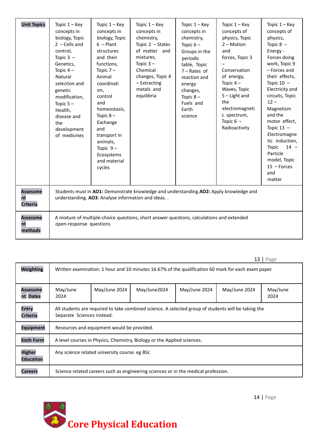| <b>Unit Topics</b>                       | Topic $1 -$ Key<br>concepts in<br>biology, Topic<br>$2 -$ Cells and<br>control,<br>Topic $3 -$<br>Genetics,<br>Topic $4-$<br>Natural<br>selection and<br>genetic<br>modification,<br>Topic $5-$<br>Health,<br>disease and<br>the<br>development<br>of medicines | Topic $1 -$ Key<br>concepts in<br>biology, Topic<br>$6$ – Plant<br>structures<br>and their<br>functions,<br>Topic $7-$<br>Animal<br>coordinati<br>on,<br>control<br>and<br>homeostasis,<br>Topic $8-$<br>Exchange<br>and<br>transport in<br>animals,<br>Topic $9-$<br>Ecosystems<br>and material<br>cycles | Topic $1 -$ Key<br>concepts in<br>chemistry,<br>Topic $2 - States$<br>of matter and<br>mixtures,<br>Topic $3-$<br>Chemical<br>changes, Topic 4<br>- Extracting<br>metals and<br>equilibria | Topic $1 -$ Key<br>concepts in<br>chemistry,<br>Topic $6-$<br>Groups in the<br>periodic<br>table, Topic<br>$7 - Rates$ of<br>reaction and<br>energy<br>changes,<br>Topic $8-$<br>Fuels and<br>Earth<br>science | Topic $1 -$ Key<br>concepts of<br>physics, Topic<br>$2 - Motion$<br>and<br>forces, Topic 3<br>Conservation<br>of energy,<br>Topic $4-$<br>Waves, Topic<br>$5$ – Light and<br>the<br>electromagneti<br>c spectrum,<br>Topic $6 -$<br>Radioactivity | Topic $1 -$ Key<br>concepts of<br>physics,<br>Topic $8 -$<br>Energy -<br>Forces doing<br>work, Topic 9<br>- Forces and<br>their effects,<br>Topic $10 -$<br>Electricity and<br>circuits, Topic<br>$12 -$<br>Magnetism<br>and the<br>motor effect,<br>Topic $13 -$<br>Electromagne<br>tic induction,<br>Topic<br>$14 -$<br>Particle<br>model, Topic<br>$15$ - Forces<br>and<br>matter |
|------------------------------------------|-----------------------------------------------------------------------------------------------------------------------------------------------------------------------------------------------------------------------------------------------------------------|------------------------------------------------------------------------------------------------------------------------------------------------------------------------------------------------------------------------------------------------------------------------------------------------------------|--------------------------------------------------------------------------------------------------------------------------------------------------------------------------------------------|----------------------------------------------------------------------------------------------------------------------------------------------------------------------------------------------------------------|---------------------------------------------------------------------------------------------------------------------------------------------------------------------------------------------------------------------------------------------------|--------------------------------------------------------------------------------------------------------------------------------------------------------------------------------------------------------------------------------------------------------------------------------------------------------------------------------------------------------------------------------------|
| <b>Assessme</b><br>nt<br><b>Criteria</b> |                                                                                                                                                                                                                                                                 | understanding. AO3: Analyse information and ideas                                                                                                                                                                                                                                                          | Students must in AO1: Demonstrate knowledge and understanding.AO2: Apply knowledge and                                                                                                     |                                                                                                                                                                                                                |                                                                                                                                                                                                                                                   |                                                                                                                                                                                                                                                                                                                                                                                      |
| <b>Assessme</b><br>nt<br>methods         | open-response questions                                                                                                                                                                                                                                         |                                                                                                                                                                                                                                                                                                            | A mixture of multiple-choice questions, short answer questions, calculations and extended                                                                                                  |                                                                                                                                                                                                                |                                                                                                                                                                                                                                                   |                                                                                                                                                                                                                                                                                                                                                                                      |

| Weighting                         | Written examination: 1 hour and 10 minutes 16.67% of the qualification 60 mark for each exam paper.                               |  |  |  |  |  |  |  |
|-----------------------------------|-----------------------------------------------------------------------------------------------------------------------------------|--|--|--|--|--|--|--|
| Assessme<br>nt Dates              | May/June 2024<br>May/June2024<br>May/June 2024<br>May/June 2024<br>May/June<br>May/June<br>2024<br>2024                           |  |  |  |  |  |  |  |
| <b>Entry</b><br><b>Criteria</b>   | All students are required to take combined science. A selected group of students will be taking the<br>Separate Sciences instead. |  |  |  |  |  |  |  |
| <b>Equipment</b>                  | Resources and equipment would be provided.                                                                                        |  |  |  |  |  |  |  |
| <b>Sixth Form</b>                 | A level courses in Physics, Chemistry, Biology or the Applied sciences.                                                           |  |  |  |  |  |  |  |
| <b>Higher</b><br><b>Education</b> | Any science related university course, eg BSc                                                                                     |  |  |  |  |  |  |  |
| <b>Careers</b>                    | Science related careers such as engineering sciences or in the medical profession.                                                |  |  |  |  |  |  |  |

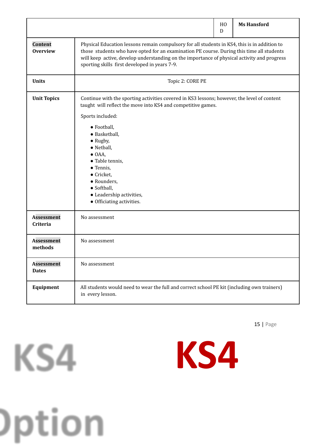|                                   |                                                                                                                                                                                                                                                                                                                                                                                                          | H <sub>0</sub><br>D | <b>Ms Hansford</b> |  |  |  |
|-----------------------------------|----------------------------------------------------------------------------------------------------------------------------------------------------------------------------------------------------------------------------------------------------------------------------------------------------------------------------------------------------------------------------------------------------------|---------------------|--------------------|--|--|--|
| Content<br><b>Overview</b>        | Physical Education lessons remain compulsory for all students in KS4, this is in addition to<br>those students who have opted for an examination PE course. During this time all students<br>will keep active, develop understanding on the importance of physical activity and progress<br>sporting skills first developed in years 7-9.                                                                |                     |                    |  |  |  |
| <b>Units</b>                      | Topic 2: CORE PE                                                                                                                                                                                                                                                                                                                                                                                         |                     |                    |  |  |  |
| <b>Unit Topics</b>                | Continue with the sporting activities covered in KS3 lessons; however, the level of content<br>taught will reflect the move into KS4 and competitive games.<br>Sports included:<br>· Football,<br>• Basketball,<br>$\bullet$ Rugby,<br>· Netball,<br>$\bullet$ OAA,<br>• Table tennis,<br>• Tennis,<br>• Cricket,<br>• Rounders,<br>· Softball,<br>• Leadership activities,<br>• Officiating activities. |                     |                    |  |  |  |
| <b>Assessment</b><br>Criteria     | No assessment                                                                                                                                                                                                                                                                                                                                                                                            |                     |                    |  |  |  |
| <b>Assessment</b><br>methods      | No assessment                                                                                                                                                                                                                                                                                                                                                                                            |                     |                    |  |  |  |
| <b>Assessment</b><br><b>Dates</b> | No assessment                                                                                                                                                                                                                                                                                                                                                                                            |                     |                    |  |  |  |
| Equipment                         | All students would need to wear the full and correct school PE kit (including own trainers)<br>in every lesson.                                                                                                                                                                                                                                                                                          |                     |                    |  |  |  |



KS4

)ption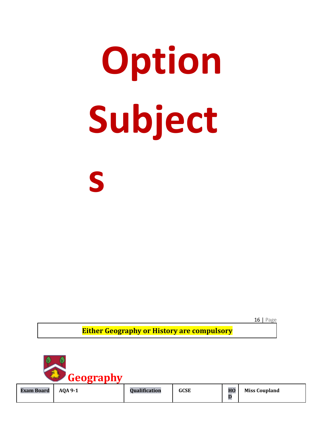# **Option Subject s**

16 | Page

**Either Geography or History are compulsory**

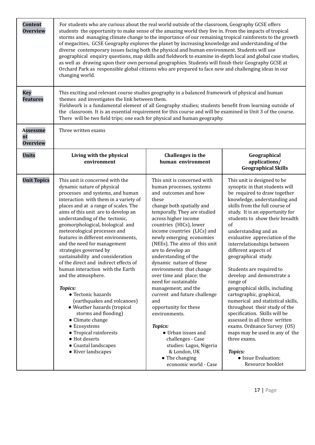| <b>Content</b><br><b>Overview</b>        | For students who are curious about the real world outside of the classroom, Geography GCSE offers<br>students the opportunity to make sense of the amazing world they live in. From the impacts of tropical<br>storms and managing climate change to the importance of our remaining tropical rainforests to the growth<br>of megacities, GCSE Geography explores the planet by increasing knowledge and understanding of the<br>diverse contemporary issues facing both the physical and human environment. Students will use<br>geographical enquiry questions, map skills and fieldwork to examine in-depth local and global case studies,<br>as well as drawing upon their own personal geographies. Students will finish their Geography GCSE at<br>Orchard Park as responsible global citizens who are prepared to face new and challenging ideas in our<br>changing world.                                                                                                                                                                                                                                                                                                                                                                                                                                                                                                                                                                                                                                                                                                                                                                                                                                                                                                                                                                                                                                                                                                                                                                                                                                                                                                                                                                                                     |                                        |                                                             |  |  |  |  |
|------------------------------------------|---------------------------------------------------------------------------------------------------------------------------------------------------------------------------------------------------------------------------------------------------------------------------------------------------------------------------------------------------------------------------------------------------------------------------------------------------------------------------------------------------------------------------------------------------------------------------------------------------------------------------------------------------------------------------------------------------------------------------------------------------------------------------------------------------------------------------------------------------------------------------------------------------------------------------------------------------------------------------------------------------------------------------------------------------------------------------------------------------------------------------------------------------------------------------------------------------------------------------------------------------------------------------------------------------------------------------------------------------------------------------------------------------------------------------------------------------------------------------------------------------------------------------------------------------------------------------------------------------------------------------------------------------------------------------------------------------------------------------------------------------------------------------------------------------------------------------------------------------------------------------------------------------------------------------------------------------------------------------------------------------------------------------------------------------------------------------------------------------------------------------------------------------------------------------------------------------------------------------------------------------------------------------------------|----------------------------------------|-------------------------------------------------------------|--|--|--|--|
| <b>Key</b><br><b>Features</b>            | This exciting and relevant course studies geography in a balanced framework of physical and human<br>themes and investigates the link between them.<br>Fieldwork is a fundamental element of all Geography studies; students benefit from learning outside of<br>the classroom. It is an essential requirement for this course and will be examined in Unit 3 of the course.<br>There will be two field trips; one each for physical and human geography.                                                                                                                                                                                                                                                                                                                                                                                                                                                                                                                                                                                                                                                                                                                                                                                                                                                                                                                                                                                                                                                                                                                                                                                                                                                                                                                                                                                                                                                                                                                                                                                                                                                                                                                                                                                                                             |                                        |                                                             |  |  |  |  |
| <b>Assessme</b><br>nt<br><b>Overview</b> | Three written exams                                                                                                                                                                                                                                                                                                                                                                                                                                                                                                                                                                                                                                                                                                                                                                                                                                                                                                                                                                                                                                                                                                                                                                                                                                                                                                                                                                                                                                                                                                                                                                                                                                                                                                                                                                                                                                                                                                                                                                                                                                                                                                                                                                                                                                                                   |                                        |                                                             |  |  |  |  |
| <b>Units</b>                             | Living with the physical<br>environment                                                                                                                                                                                                                                                                                                                                                                                                                                                                                                                                                                                                                                                                                                                                                                                                                                                                                                                                                                                                                                                                                                                                                                                                                                                                                                                                                                                                                                                                                                                                                                                                                                                                                                                                                                                                                                                                                                                                                                                                                                                                                                                                                                                                                                               | Challenges in the<br>human environment | Geographical<br>applications/<br><b>Geographical Skills</b> |  |  |  |  |
| <b>Unit Topics</b>                       | This unit is concerned with the<br>This unit is concerned with<br>This unit is designed to be<br>dynamic nature of physical<br>human processes, systems<br>synoptic in that students will<br>and outcomes and how<br>processes and systems, and human<br>be required to draw together<br>interaction with them in a variety of<br>these<br>knowledge, understanding and<br>skills from the full course of<br>places and at a range of scales. The<br>change both spatially and<br>aims of this unit are to develop an<br>temporally. They are studied<br>study. It is an opportunity for<br>understanding of the tectonic,<br>across higher income<br>students to show their breadth<br>of<br>geomorphological, biological and<br>countries (HICs), lower<br>meteorological processes and<br>income countries (LICs) and<br>understanding and an<br>features in different environments,<br>newly emerging economies<br>evaluative appreciation of the<br>and the need for management<br>(NEEs). The aims of this unit<br>interrelationships between<br>are to develop an<br>strategies governed by<br>different aspects of<br>sustainability and consideration<br>understanding of the<br>geographical study.<br>of the direct and indirect effects of<br>dynamic nature of these<br>human interaction with the Earth<br>environments that change<br>Students are required to<br>and the atmosphere.<br>over time and place; the<br>develop and demonstrate a<br>need for sustainable<br>range of<br>management; and the<br>geographical skills, including<br><b>Topics:</b><br>current and future challenge<br>cartographic, graphical,<br>• Tectonic hazards<br>numerical and statistical skills,<br>(earthquakes and volcanoes)<br>and<br>throughout their study of the<br>• Weather hazards (tropical<br>opportunity for these<br>specification. Skills will be<br>storms and flooding)<br>environments.<br>assessed in all three written<br>• Climate change<br>exams. Ordnance Survey (OS)<br>• Ecosystems<br><b>Topics:</b><br>• Tropical rainforests<br>• Urban issues and<br>maps may be used in any of the<br>• Hot deserts<br>challenges - Case<br>three exams.<br>• Coastal landscapes<br>studies: Lagos, Nigeria<br>• River landscapes<br>& London, UK<br><b>Topics:</b> |                                        |                                                             |  |  |  |  |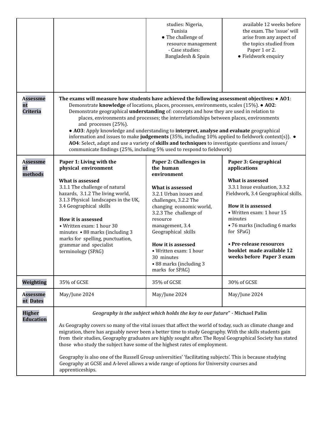|                                   |                                                                                                                                                                                                                                                                                                                                                                                                                                                                                                                                                                                                                                                                                                                               | studies: Nigeria,<br>Tunisia<br>• The challenge of<br>resource management<br>- Case studies:<br>Bangladesh & Spain                                                                                                                                                                                                                                | available 12 weeks before<br>the exam. The 'issue' will<br>arise from any aspect of<br>the topics studied from<br>Paper 1 or 2.<br>• Fieldwork enquiry                                                                                                                                                                              |  |  |
|-----------------------------------|-------------------------------------------------------------------------------------------------------------------------------------------------------------------------------------------------------------------------------------------------------------------------------------------------------------------------------------------------------------------------------------------------------------------------------------------------------------------------------------------------------------------------------------------------------------------------------------------------------------------------------------------------------------------------------------------------------------------------------|---------------------------------------------------------------------------------------------------------------------------------------------------------------------------------------------------------------------------------------------------------------------------------------------------------------------------------------------------|-------------------------------------------------------------------------------------------------------------------------------------------------------------------------------------------------------------------------------------------------------------------------------------------------------------------------------------|--|--|
| <b>Assessme</b><br>nt<br>Criteria | The exams will measure how students have achieved the following assessment objectives: • A01:<br>Demonstrate knowledge of locations, places, processes, environments, scales (15%). • A02:<br>Demonstrate geographical <b>understanding</b> of: concepts and how they are used in relation to<br>and processes (25%).<br>• AO3: Apply knowledge and understanding to interpret, analyse and evaluate geographical<br>information and issues to make judgements (35%, including 10% applied to fieldwork context(s)). $\bullet$<br>AO4: Select, adapt and use a variety of skills and techniques to investigate questions and issues/<br>communicate findings (25%, including 5% used to respond to fieldwork)                 | places, environments and processes; the interrelationships between places, environments                                                                                                                                                                                                                                                           |                                                                                                                                                                                                                                                                                                                                     |  |  |
| <b>Assessme</b><br>nt<br>methods  | Paper 1: Living with the<br>physical environment<br>What is assessed<br>3.1.1 The challenge of natural<br>hazards, 3.1.2 The living world,<br>3.1.3 Physical landscapes in the UK,<br>3.4 Geographical skills<br>How it is assessed<br>• Written exam: 1 hour 30<br>minutes • 88 marks (including 3<br>marks for spelling, punctuation,<br>grammar and specialist<br>terminology (SPAG)                                                                                                                                                                                                                                                                                                                                       | Paper 2: Challenges in<br>the human<br>environment<br>What is assessed<br>3.2.1 Urban issues and<br>challenges, 3.2.2 The<br>changing economic world,<br>3.2.3 The challenge of<br>resource<br>management, 3.4<br>Geographical skills<br>How it is assessed<br>• Written exam: 1 hour<br>30 minutes<br>• 88 marks (including 3<br>marks for SPAG) | Paper 3: Geographical<br>applications<br>What is assessed<br>3.3.1 Issue evaluation, 3.3.2<br>Fieldwork, 3.4 Geographical skills.<br>How it is assessed<br>• Written exam: 1 hour 15<br>minutes<br>• 76 marks (including 6 marks)<br>for SPaG)<br>• Pre-release resources<br>booklet made available 12<br>weeks before Paper 3 exam |  |  |
| Weighting                         | 35% of GCSE                                                                                                                                                                                                                                                                                                                                                                                                                                                                                                                                                                                                                                                                                                                   | 35% of GCSE                                                                                                                                                                                                                                                                                                                                       | 30% of GCSE                                                                                                                                                                                                                                                                                                                         |  |  |
| <b>Assessme</b><br>nt Dates       | May/June 2024                                                                                                                                                                                                                                                                                                                                                                                                                                                                                                                                                                                                                                                                                                                 | May/June 2024                                                                                                                                                                                                                                                                                                                                     | May/June 2024                                                                                                                                                                                                                                                                                                                       |  |  |
| <b>Higher</b><br><b>Education</b> | Geography is the subject which holds the key to our future" - Michael Palin<br>As Geography covers so many of the vital issues that affect the world of today, such as climate change and<br>migration, there has arguably never been a better time to study Geography. With the skills students gain<br>from their studies, Geography graduates are highly sought after. The Royal Geographical Society has stated<br>those who study the subject have some of the highest rates of employment.<br>Geography is also one of the Russell Group universities' 'facilitating subjects'. This is because studying<br>Geography at GCSE and A-level allows a wide range of options for University courses and<br>apprenticeships. |                                                                                                                                                                                                                                                                                                                                                   |                                                                                                                                                                                                                                                                                                                                     |  |  |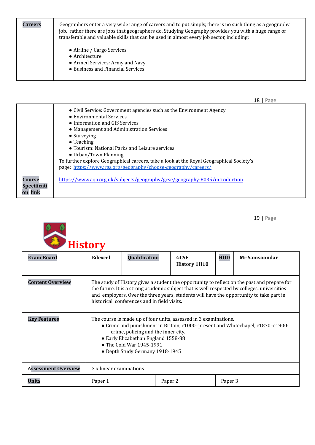| Careers | Geographers enter a very wide range of careers and to put simply, there is no such thing as a geography<br>job, rather there are jobs that geographers do. Studying Geography provides you with a huge range of<br>transferable and valuable skills that can be used in almost every job sector, including: |
|---------|-------------------------------------------------------------------------------------------------------------------------------------------------------------------------------------------------------------------------------------------------------------------------------------------------------------|
|         | • Airline / Cargo Services<br>$\bullet$ Architecture<br>• Armed Services: Army and Navy<br>• Business and Financial Services                                                                                                                                                                                |

|                                  | • Civil Service: Government agencies such as the Environment Agency<br>• Environmental Services<br>• Information and GIS Services<br>• Management and Administration Services<br>$\bullet$ Surveying<br>$\bullet$ Teaching<br>• Tourism: National Parks and Leisure services<br>• Urban/Town Planning<br>To further explore Geographical careers, take a look at the Royal Geographical Society's<br>page: https://www.rgs.org/geography/choose-geography/careers/ |
|----------------------------------|--------------------------------------------------------------------------------------------------------------------------------------------------------------------------------------------------------------------------------------------------------------------------------------------------------------------------------------------------------------------------------------------------------------------------------------------------------------------|
| Course<br>Specificati<br>on link | https://www.aqa.org.uk/subjects/geography/gcse/geography-8035/introduction                                                                                                                                                                                                                                                                                                                                                                                         |



| <b>Exam Board</b>          | Edexcel                                                                                                                                                                                                                                                                                                                               | Qualification | <b>GCSE</b><br><b>History 1H10</b> | <b>HOD</b> | Mr Samsoondar |
|----------------------------|---------------------------------------------------------------------------------------------------------------------------------------------------------------------------------------------------------------------------------------------------------------------------------------------------------------------------------------|---------------|------------------------------------|------------|---------------|
| <b>Content Overview</b>    | The study of History gives a student the opportunity to reflect on the past and prepare for<br>the future. It is a strong academic subject that is well respected by colleges, universities<br>and employers. Over the three years, students will have the opportunity to take part in<br>historical conferences and in field visits. |               |                                    |            |               |
| <b>Key Features</b>        | The course is made up of four units, assessed in 3 examinations.<br>• Crime and punishment in Britain, c1000-present and Whitechapel, c1870-c1900:<br>crime, policing and the inner city.<br>• Early Elizabethan England 1558-88<br>• The Cold War 1945-1991<br>• Depth Study Germany 1918-1945                                       |               |                                    |            |               |
| <b>Assessment Overview</b> | 3 x linear examinations                                                                                                                                                                                                                                                                                                               |               |                                    |            |               |
| <b>Units</b>               | Paper 1                                                                                                                                                                                                                                                                                                                               |               | Paper 2                            | Paper 3    |               |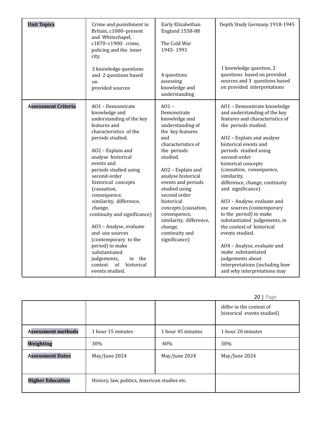| <b>Unit Topics</b>         | Crime and punishment in<br>Britain, c1000-present<br>and Whitechapel,<br>c1870-c1900: crime,<br>policing and the inner<br>city.<br>3 knowledge questions<br>and 2 questions based<br>on<br>provided sources                                                                                                                                                                                                                                                                                                                                     | Early Elizabethan<br><b>England 1558-88</b><br>The Cold War<br>1945-1991<br>4 questions<br>assessing<br>knowledge and<br>understanding                                                                                                                                                                                                                                   | Depth Study Germany 1918-1945<br>1 knowledge question, 2<br>questions based on provided<br>sources and 3 questions based<br>on provided interpretations                                                                                                                                                                                                                                                                                                                                                                                                                                                                                                        |
|----------------------------|-------------------------------------------------------------------------------------------------------------------------------------------------------------------------------------------------------------------------------------------------------------------------------------------------------------------------------------------------------------------------------------------------------------------------------------------------------------------------------------------------------------------------------------------------|--------------------------------------------------------------------------------------------------------------------------------------------------------------------------------------------------------------------------------------------------------------------------------------------------------------------------------------------------------------------------|----------------------------------------------------------------------------------------------------------------------------------------------------------------------------------------------------------------------------------------------------------------------------------------------------------------------------------------------------------------------------------------------------------------------------------------------------------------------------------------------------------------------------------------------------------------------------------------------------------------------------------------------------------------|
| <b>Assessment Criteria</b> | A01 - Demonstrate<br>knowledge and<br>understanding of the key<br>features and<br>characteristics of the<br>periods studied.<br>AO2 - Explain and<br>analyse historical<br>events and<br>periods studied using<br>second-order<br>historical concepts<br>(causation,<br>consequence,<br>similarity, difference,<br>change,<br>continuity and significance)<br>A03 - Analyse, evaluate<br>and use sources<br>(contemporary to the<br>period) to make<br>substantiated<br>judgements,<br>in the<br>of<br>historical<br>context<br>events studied. | $A01 -$<br>Demonstrate<br>knowledge and<br>understanding of<br>the key features<br>and<br>characteristics of<br>the periods<br>studied.<br>AO2 - Explain and<br>analyse historical<br>events and periods<br>studied using<br>second order<br>historical<br>concepts (causation,<br>consequence,<br>similarity, difference,<br>change,<br>continuity and<br>significance) | A01 - Demonstrate knowledge<br>and understanding of the key<br>features and characteristics of<br>the periods studied.<br>AO2 - Explain and analyse<br>historical events and<br>periods studied using<br>second-order<br>historical concepts<br>(causation, consequence,<br>similarity,<br>difference, change, continuity<br>and significance)<br>AO3 - Analyse, evaluate and<br>use sources (contemporary<br>to the period) to make<br>substantiated judgements, in<br>the context of historical<br>events studied.<br>AO4 - Analyse, evaluate and<br>make substantiated<br>judgements about<br>interpretations (including how<br>and why interpretations may |

|                           |                                               |                   | $20$   Page                                            |
|---------------------------|-----------------------------------------------|-------------------|--------------------------------------------------------|
|                           |                                               |                   | differ in the context of<br>historical events studied) |
| <b>Assessment methods</b> | 1 hour 15 minutes                             | 1 hour 45 minutes | 1 hour 20 minutes                                      |
| Weighting                 | 30%                                           | 40%               | 30%                                                    |
| <b>Assessment Dates</b>   | May/June 2024                                 | May/June 2024     | May/June 2024                                          |
| <b>Higher Education</b>   | History, law, politics, American studies etc. |                   |                                                        |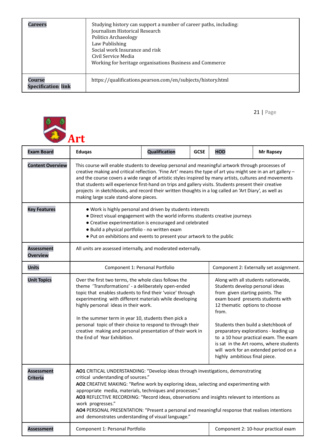| Careers                             | Studying history can support a number of career paths, including:<br>Journalism Historical Research<br><b>Politics Archaeology</b><br>Law Publishing<br>Social work Insurance and risk<br>Civil Service Media<br>Working for heritage organisations Business and Commerce |
|-------------------------------------|---------------------------------------------------------------------------------------------------------------------------------------------------------------------------------------------------------------------------------------------------------------------------|
| Course<br><b>Specification link</b> | https://qualifications.pearson.com/en/subjects/history.html                                                                                                                                                                                                               |



| <b>Exam Board</b>                    | <b>Eduqas</b>                                                                                                                                                                                                                                                                                                                                                                                                                                                                                                                                                                         | <b>Qualification</b>                                         | <b>GCSE</b> | <b>HOD</b>                                                                                                                                                                           | <b>Mr Rapsey</b>                                                                                                                                                                                                                               |
|--------------------------------------|---------------------------------------------------------------------------------------------------------------------------------------------------------------------------------------------------------------------------------------------------------------------------------------------------------------------------------------------------------------------------------------------------------------------------------------------------------------------------------------------------------------------------------------------------------------------------------------|--------------------------------------------------------------|-------------|--------------------------------------------------------------------------------------------------------------------------------------------------------------------------------------|------------------------------------------------------------------------------------------------------------------------------------------------------------------------------------------------------------------------------------------------|
| <b>Content Overview</b>              | This course will enable students to develop personal and meaningful artwork through processes of<br>creative making and critical reflection. 'Fine Art' means the type of art you might see in an art gallery -<br>and the course covers a wide range of artistic styles inspired by many artists, cultures and movements<br>that students will experience first-hand on trips and gallery visits. Students present their creative<br>projects in sketchbooks, and record their written thoughts in a log called an 'Art Diary', as well as<br>making large scale stand-alone pieces. |                                                              |             |                                                                                                                                                                                      |                                                                                                                                                                                                                                                |
| <b>Key Features</b>                  | • Work is highly personal and driven by students interests<br>• Direct visual engagement with the world informs students creative journeys<br>• Creative experimentation is encouraged and celebrated<br>· Build a physical portfolio - no written exam<br>. Put on exhibitions and events to present your artwork to the public                                                                                                                                                                                                                                                      |                                                              |             |                                                                                                                                                                                      |                                                                                                                                                                                                                                                |
| <b>Assessment</b><br><b>Overview</b> |                                                                                                                                                                                                                                                                                                                                                                                                                                                                                                                                                                                       | All units are assessed internally, and moderated externally. |             |                                                                                                                                                                                      |                                                                                                                                                                                                                                                |
| <b>Units</b>                         | Component 1: Personal Portfolio                                                                                                                                                                                                                                                                                                                                                                                                                                                                                                                                                       |                                                              |             |                                                                                                                                                                                      | Component 2: Externally set assignment.                                                                                                                                                                                                        |
| <b>Unit Topics</b>                   | Over the first two terms, the whole class follows the<br>theme 'Transformations' - a deliberately open-ended<br>topic that enables students to find their 'voice' through<br>experimenting with different materials while developing<br>highly personal ideas in their work.<br>In the summer term in year 10, students then pick a<br>personal topic of their choice to respond to through their<br>creative making and personal presentation of their work in<br>the End of Year Exhibition.                                                                                        |                                                              |             | Along with all students nationwide,<br>Students develop personal ideas<br>from given starting points. The<br>12 thematic options to choose<br>from.<br>highly ambitious final piece. | exam board presents students with<br>Students then build a sketchbook of<br>preparatory explorations - leading up<br>to a 10 hour practical exam. The exam<br>is sat in the Art rooms, where students<br>will work for an extended period on a |
| <b>Assessment</b><br><b>Criteria</b> | AO1 CRITICAL UNDERSTANDING: "Develop ideas through investigations, demonstrating<br>critical understanding of sources."<br>AO2 CREATIVE MAKING: "Refine work by exploring ideas, selecting and experimenting with<br>appropriate media, materials, techniques and processes."<br>AO3 REFLECTIVE RECORDING: "Record ideas, observations and insights relevant to intentions as<br>work progresses."<br>AO4 PERSONAL PRESENTATION: "Present a personal and meaningful response that realises intentions<br>and demonstrates understanding of visual language."                          |                                                              |             |                                                                                                                                                                                      |                                                                                                                                                                                                                                                |
| <b>Assessment</b>                    | Component 1: Personal Portfolio                                                                                                                                                                                                                                                                                                                                                                                                                                                                                                                                                       |                                                              |             |                                                                                                                                                                                      | Component 2: 10-hour practical exam                                                                                                                                                                                                            |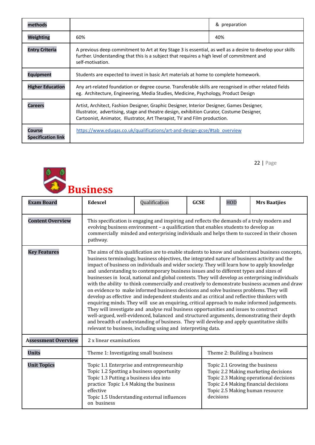| methods                             |                                                                                                                                                                                                                                                                     | & preparation |  |
|-------------------------------------|---------------------------------------------------------------------------------------------------------------------------------------------------------------------------------------------------------------------------------------------------------------------|---------------|--|
| Weighting                           | 60%                                                                                                                                                                                                                                                                 | 40%           |  |
| <b>Entry Criteria</b>               | A previous deep commitment to Art at Key Stage 3 is essential, as well as a desire to develop your skills<br>further. Understanding that this is a subject that requires a high level of commitment and<br>self-motivation.                                         |               |  |
| <b>Equipment</b>                    | Students are expected to invest in basic Art materials at home to complete homework.                                                                                                                                                                                |               |  |
| <b>Higher Education</b>             | Any art-related foundation or degree course. Transferable skills are recognised in other related fields<br>eg. Architecture, Engineering, Media Studies, Medicine, Psychology, Product Design                                                                       |               |  |
| Careers                             | Artist, Architect, Fashion Designer, Graphic Designer, Interior Designer, Games Designer,<br>Illustrator, advertising, stage and theatre design, exhibition Curator, Costume Designer,<br>Cartoonist, Animator, Illustrator, Art Therapist, TV and Film production. |               |  |
| Course<br><b>Specification link</b> | https://www.edugas.co.uk/qualifications/art-and-design-gcse/#tab overview                                                                                                                                                                                           |               |  |



| <b>Exam Board</b>          | <b>Edexcel</b>                                                                                                                                                                                                                                                                                                                                                                                                                                                                                                                                                                                                                                                                                                                                                                                                                                                                                                                                                                                                                                                                                                                                                                                                                          | Qualification                                                                                                                                                                                                                                                                    | <b>GCSE</b> | HOD                            | <b>Mrs Baatjies</b>                                                                                                                                       |  |
|----------------------------|-----------------------------------------------------------------------------------------------------------------------------------------------------------------------------------------------------------------------------------------------------------------------------------------------------------------------------------------------------------------------------------------------------------------------------------------------------------------------------------------------------------------------------------------------------------------------------------------------------------------------------------------------------------------------------------------------------------------------------------------------------------------------------------------------------------------------------------------------------------------------------------------------------------------------------------------------------------------------------------------------------------------------------------------------------------------------------------------------------------------------------------------------------------------------------------------------------------------------------------------|----------------------------------------------------------------------------------------------------------------------------------------------------------------------------------------------------------------------------------------------------------------------------------|-------------|--------------------------------|-----------------------------------------------------------------------------------------------------------------------------------------------------------|--|
| <b>Content Overview</b>    | pathway.                                                                                                                                                                                                                                                                                                                                                                                                                                                                                                                                                                                                                                                                                                                                                                                                                                                                                                                                                                                                                                                                                                                                                                                                                                | This specification is engaging and inspiring and reflects the demands of a truly modern and<br>evolving business environment - a qualification that enables students to develop as<br>commercially minded and enterprising individuals and helps them to succeed in their chosen |             |                                |                                                                                                                                                           |  |
| <b>Key Features</b>        | The aims of this qualification are to enable students to know and understand business concepts,<br>business terminology, business objectives, the integrated nature of business activity and the<br>impact of business on individuals and wider society. They will learn how to apply knowledge<br>and understanding to contemporary business issues and to different types and sizes of<br>businesses in local, national and global contexts. They will develop as enterprising individuals<br>with the ability to think commercially and creatively to demonstrate business acumen and draw<br>on evidence to make informed business decisions and solve business problems. They will<br>develop as effective and independent students and as critical and reflective thinkers with<br>enquiring minds. They will use an enquiring, critical approach to make informed judgements.<br>They will investigate and analyse real business opportunities and issues to construct<br>well-argued, well-evidenced, balanced and structured arguments, demonstrating their depth<br>and breadth of understanding of business. They will develop and apply quantitative skills<br>relevant to business, including using and interpreting data. |                                                                                                                                                                                                                                                                                  |             |                                |                                                                                                                                                           |  |
| <b>Assessment Overview</b> | 2 x linear examinations                                                                                                                                                                                                                                                                                                                                                                                                                                                                                                                                                                                                                                                                                                                                                                                                                                                                                                                                                                                                                                                                                                                                                                                                                 |                                                                                                                                                                                                                                                                                  |             |                                |                                                                                                                                                           |  |
| <b>Units</b>               | Theme 1: Investigating small business<br>Theme 2: Building a business                                                                                                                                                                                                                                                                                                                                                                                                                                                                                                                                                                                                                                                                                                                                                                                                                                                                                                                                                                                                                                                                                                                                                                   |                                                                                                                                                                                                                                                                                  |             |                                |                                                                                                                                                           |  |
| <b>Unit Topics</b>         | Topic 1.2 Spotting a business opportunity<br>Topic 1.3 Putting a business idea into<br>practice Topic 1.4 Making the business<br>effective<br>on business                                                                                                                                                                                                                                                                                                                                                                                                                                                                                                                                                                                                                                                                                                                                                                                                                                                                                                                                                                                                                                                                               | Topic 1.1 Enterprise and entrepreneurship<br>Topic 1.5 Understanding external influences                                                                                                                                                                                         | decisions   | Topic 2.1 Growing the business | Topic 2.2 Making marketing decisions<br>Topic 2.3 Making operational decisions<br>Topic 2.4 Making financial decisions<br>Topic 2.5 Making human resource |  |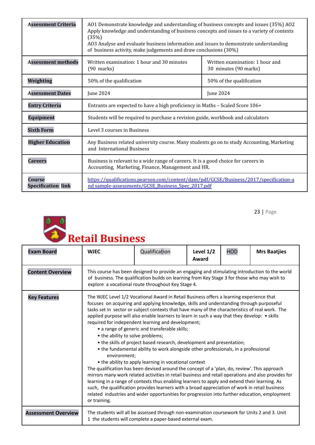| <b>Assessment Criteria</b>                                                                                                                          | A01 Demonstrate knowledge and understanding of business concepts and issues (35%) A02<br>Apply knowledge and understanding of business concepts and issues to a variety of contexts<br>(35%)<br>AO3 Analyse and evaluate business information and issues to demonstrate understanding<br>of business activity, make judgements and draw conclusions (30%) |  |  |  |
|-----------------------------------------------------------------------------------------------------------------------------------------------------|-----------------------------------------------------------------------------------------------------------------------------------------------------------------------------------------------------------------------------------------------------------------------------------------------------------------------------------------------------------|--|--|--|
| <b>Assessment methods</b>                                                                                                                           | Written examination: 1 hour and 30 minutes<br>Written examination: 1 hour and<br>30 minutes (90 marks)<br>$(90$ marks)                                                                                                                                                                                                                                    |  |  |  |
| Weighting                                                                                                                                           | 50% of the qualification<br>50% of the qualification                                                                                                                                                                                                                                                                                                      |  |  |  |
| <b>Assessment Dates</b>                                                                                                                             | June 2024<br>June 2024                                                                                                                                                                                                                                                                                                                                    |  |  |  |
| <b>Entry Criteria</b>                                                                                                                               | Entrants are expected to have a high proficiency in Maths - Scaled Score 106+                                                                                                                                                                                                                                                                             |  |  |  |
| <b>Equipment</b>                                                                                                                                    | Students will be required to purchase a revision guide, workbook and calculators                                                                                                                                                                                                                                                                          |  |  |  |
| <b>Sixth Form</b><br>Level 3 courses in Business                                                                                                    |                                                                                                                                                                                                                                                                                                                                                           |  |  |  |
| <b>Higher Education</b><br>Any Business related university course. Many students go on to study Accounting, Marketing<br>and International Business |                                                                                                                                                                                                                                                                                                                                                           |  |  |  |
| <b>Careers</b>                                                                                                                                      | Business is relevant to a wide range of careers. It is a good choice for careers in<br>Accounting, Marketing, Finance, Management and HR.                                                                                                                                                                                                                 |  |  |  |
| Course<br><b>Specification link</b>                                                                                                                 | https://qualifications.pearson.com/content/dam/pdf/GCSE/Business/2017/specification-a<br>nd sample-assessments/GCSE_Business_Spec_2017.pdf                                                                                                                                                                                                                |  |  |  |



HOD **Mrs Baatjies**

### **Retail Business Exam Board WJEC** Qualification **Level 1/2**

| <b>Content Overview</b>    | This course has been designed to provide an engaging and stimulating introduction to the world<br>of business. The qualification builds on learning from Key Stage 3 for those who may wish to<br>explore a vocational route throughout Key Stage 4.                                                                                                                                                                                                                                                                                                                                                                                                                                                                                                                                                                                                                                                                                                                                                                                                                                                                                                                                                                                                                                                  |  |  |  |  |
|----------------------------|-------------------------------------------------------------------------------------------------------------------------------------------------------------------------------------------------------------------------------------------------------------------------------------------------------------------------------------------------------------------------------------------------------------------------------------------------------------------------------------------------------------------------------------------------------------------------------------------------------------------------------------------------------------------------------------------------------------------------------------------------------------------------------------------------------------------------------------------------------------------------------------------------------------------------------------------------------------------------------------------------------------------------------------------------------------------------------------------------------------------------------------------------------------------------------------------------------------------------------------------------------------------------------------------------------|--|--|--|--|
| <b>Key Features</b>        | The WJEC Level 1/2 Vocational Award in Retail Business offers a learning experience that<br>focuses on acquiring and applying knowledge, skills and understanding through purposeful<br>tasks set in sector or subject contexts that have many of the characteristics of real work. The<br>applied purpose will also enable learners to learn in such a way that they develop: • skills<br>required for independent learning and development;<br>• a range of generic and transferable skills;<br>• the ability to solve problems;<br>• the skills of project based research, development and presentation;<br>• the fundamental ability to work alongside other professionals, in a professional<br>environment;<br>• the ability to apply learning in vocational context<br>The qualification has been devised around the concept of a 'plan, do, review'. This approach<br>mirrors many work related activities in retail business and retail operations and also provides for<br>learning in a range of contexts thus enabling learners to apply and extend their learning. As<br>such, the qualification provides learners with a broad appreciation of work in retail business<br>related industries and wider opportunities for progression into further education, employment<br>or training. |  |  |  |  |
| <b>Assessment Overview</b> | The students will all be assessed through non-examination coursework for Units 2 and 3. Unit<br>1 the students will complete a paper-based external exam.                                                                                                                                                                                                                                                                                                                                                                                                                                                                                                                                                                                                                                                                                                                                                                                                                                                                                                                                                                                                                                                                                                                                             |  |  |  |  |

**Award**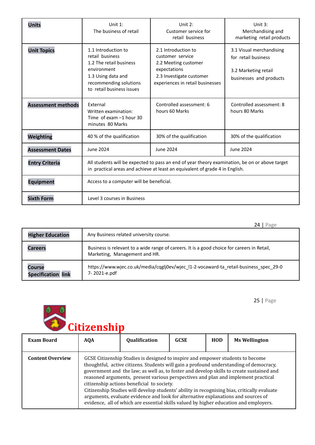| <b>Units</b>              | Unit 1:<br>The business of retail                                                                                                                                              | Unit $2:$<br>Customer service for<br>retail business                                                                                            | Unit 3:<br>Merchandising and<br>marketing retail products                                          |  |  |
|---------------------------|--------------------------------------------------------------------------------------------------------------------------------------------------------------------------------|-------------------------------------------------------------------------------------------------------------------------------------------------|----------------------------------------------------------------------------------------------------|--|--|
| <b>Unit Topics</b>        | 1.1 Introduction to<br>retail business<br>1.2 The retail business<br>environment<br>1.3 Using data and<br>recommending solutions<br>to retail business issues                  | 2.1 Introduction to<br>customer service<br>2.2 Meeting customer<br>expectations<br>2.3 Investigate customer<br>experiences in retail businesses | 3.1 Visual merchandising<br>for retail business<br>3.2 Marketing retail<br>businesses and products |  |  |
| <b>Assessment methods</b> | External<br>Written examination:<br>Time of exam $-1$ hour 30<br>minutes 80 Marks                                                                                              | Controlled assessment: 6<br>hours 60 Marks                                                                                                      | Controlled assessment: 8<br>hours 80 Marks                                                         |  |  |
| Weighting                 | 40 % of the qualification                                                                                                                                                      | 30% of the qualification                                                                                                                        | 30% of the qualification                                                                           |  |  |
| <b>Assessment Dates</b>   | June 2024                                                                                                                                                                      | June 2024                                                                                                                                       | June 2024                                                                                          |  |  |
| <b>Entry Criteria</b>     | All students will be expected to pass an end of year theory examination, be on or above target<br>in practical areas and achieve at least an equivalent of grade 4 in English. |                                                                                                                                                 |                                                                                                    |  |  |
| <b>Equipment</b>          | Access to a computer will be beneficial.                                                                                                                                       |                                                                                                                                                 |                                                                                                    |  |  |
| <b>Sixth Form</b>         | Level 3 courses in Business                                                                                                                                                    |                                                                                                                                                 |                                                                                                    |  |  |

|                                     | Page                                                                                                                         |
|-------------------------------------|------------------------------------------------------------------------------------------------------------------------------|
| <b>Higher Education</b>             | Any Business related university course.                                                                                      |
| <b>Careers</b>                      | Business is relevant to a wide range of careers. It is a good choice for careers in Retail,<br>Marketing, Management and HR. |
| Course<br><b>Specification link</b> | https://www.wjec.co.uk/media/cqglj0ev/wjec l1-2-vocaward-ta retail-business spec 29-0<br>7-2021-e.pdf                        |

<sup>o</sup> *C*itizenship

| <b>Exam Board</b>       | <b>AQA</b> | Qualification                                                                                                                                                                                                                                                                                                                                                                                   | <b>GCSE</b> | <b>HOD</b> | <b>Ms Wellington</b>                                                                                                                                                                                                                                                              |
|-------------------------|------------|-------------------------------------------------------------------------------------------------------------------------------------------------------------------------------------------------------------------------------------------------------------------------------------------------------------------------------------------------------------------------------------------------|-------------|------------|-----------------------------------------------------------------------------------------------------------------------------------------------------------------------------------------------------------------------------------------------------------------------------------|
| <b>Content Overview</b> |            | GCSE Citizenship Studies is designed to inspire and empower students to become<br>reasoned arguments, present various perspectives and plan and implement practical<br>citizenship actions beneficial to society.<br>arguments, evaluate evidence and look for alternative explanations and sources of<br>evidence, all of which are essential skills valued by higher education and employers. |             |            | thoughtful, active citizens. Students will gain a profound understanding of democracy,<br>government and the law; as well as, to foster and develop skills to create sustained and<br>Citizenship Studies will develop students' ability in recognising bias, critically evaluate |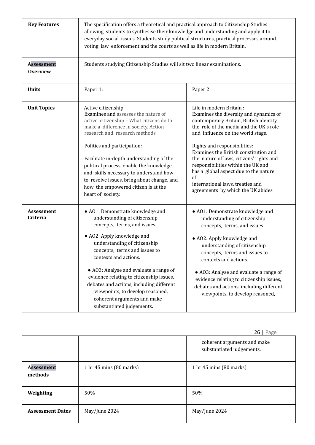| <b>Key Features</b>                  | The specification offers a theoretical and practical approach to Citizenship Studies<br>allowing students to synthesise their knowledge and understanding and apply it to<br>everyday social issues. Students study political structures, practical processes around<br>voting, law enforcement and the courts as well as life in modern Britain.                                                                                                          |                                                                                                                                                                                                                                                                                                                                                                                                                                                                                 |  |  |  |
|--------------------------------------|------------------------------------------------------------------------------------------------------------------------------------------------------------------------------------------------------------------------------------------------------------------------------------------------------------------------------------------------------------------------------------------------------------------------------------------------------------|---------------------------------------------------------------------------------------------------------------------------------------------------------------------------------------------------------------------------------------------------------------------------------------------------------------------------------------------------------------------------------------------------------------------------------------------------------------------------------|--|--|--|
| <b>Assessment</b><br><b>Overview</b> | Students studying Citizenship Studies will sit two linear examinations.                                                                                                                                                                                                                                                                                                                                                                                    |                                                                                                                                                                                                                                                                                                                                                                                                                                                                                 |  |  |  |
| <b>Units</b>                         | Paper 1:                                                                                                                                                                                                                                                                                                                                                                                                                                                   | Paper 2:                                                                                                                                                                                                                                                                                                                                                                                                                                                                        |  |  |  |
| <b>Unit Topics</b>                   | Active citizenship:<br>Examines and assesses the nature of<br>active citizenship - What citizens do to<br>make a difference in society. Action<br>research and research methods<br>Politics and participation:<br>Facilitate in-depth understanding of the<br>political process, enable the knowledge<br>and skills necessary to understand how<br>to resolve issues, bring about change, and<br>how the empowered citizen is at the<br>heart of society.  | Life in modern Britain:<br>Examines the diversity and dynamics of<br>contemporary Britain, British identity,<br>the role of the media and the UK's role<br>and influence on the world stage.<br>Rights and responsibilities:<br>Examines the British constitution and<br>the nature of laws, citizens' rights and<br>responsibilities within the UK and<br>has a global aspect due to the nature<br>of<br>international laws, treaties and<br>agreements by which the UK abides |  |  |  |
| Assessment<br>Criteria               | • A01: Demonstrate knowledge and<br>understanding of citizenship<br>concepts, terms, and issues.<br>• AO2: Apply knowledge and<br>understanding of citizenship<br>concepts, terms and issues to<br>contexts and actions.<br>• A03: Analyse and evaluate a range of<br>evidence relating to citizenship issues,<br>debates and actions, including different<br>viewpoints, to develop reasoned,<br>coherent arguments and make<br>substantiated judgements. | • A01: Demonstrate knowledge and<br>understanding of citizenship<br>concepts, terms, and issues.<br>• AO2: Apply knowledge and<br>understanding of citizenship<br>concepts, terms and issues to<br>contexts and actions.<br>• A03: Analyse and evaluate a range of<br>evidence relating to citizenship issues,<br>debates and actions, including different<br>viewpoints, to develop reasoned,                                                                                  |  |  |  |

|                              |                         | Z <b>b</b>   Page                                        |
|------------------------------|-------------------------|----------------------------------------------------------|
|                              |                         | coherent arguments and make<br>substantiated judgements. |
| <b>Assessment</b><br>methods | 1 hr 45 mins (80 marks) | 1 hr 45 mins (80 marks)                                  |
| Weighting                    | 50%                     | 50%                                                      |
| <b>Assessment Dates</b>      | May/June 2024           | May/June 2024                                            |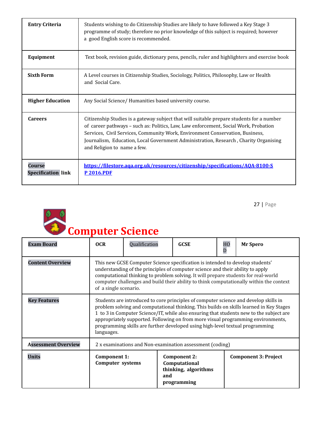| <b>Entry Criteria</b>                      | Students wishing to do Citizenship Studies are likely to have followed a Key Stage 3<br>programme of study; therefore no prior knowledge of this subject is required; however<br>a good English score is recommended.                                                                                                                                                                     |
|--------------------------------------------|-------------------------------------------------------------------------------------------------------------------------------------------------------------------------------------------------------------------------------------------------------------------------------------------------------------------------------------------------------------------------------------------|
| Equipment                                  | Text book, revision guide, dictionary pens, pencils, ruler and highlighters and exercise book                                                                                                                                                                                                                                                                                             |
| <b>Sixth Form</b>                          | A Level courses in Citizenship Studies, Sociology, Politics, Philosophy, Law or Health<br>and Social Care.                                                                                                                                                                                                                                                                                |
| <b>Higher Education</b>                    | Any Social Science/ Humanities based university course.                                                                                                                                                                                                                                                                                                                                   |
| <b>Careers</b>                             | Citizenship Studies is a gateway subject that will suitable prepare students for a number<br>of career pathways - such as: Politics, Law, Law enforcement, Social Work, Probation<br>Services, Civil Services, Community Work, Environment Conservation, Business,<br>Journalism, Education, Local Government Administration, Research, Charity Organising<br>and Religion to name a few. |
| <b>Course</b><br><b>Specification link</b> | https://filestore.aga.org.uk/resources/citizenship/specifications/AOA-8100-S<br><b>P2016.PDF</b>                                                                                                                                                                                                                                                                                          |



| <b>Exam Board</b>          | 0CR                                                                                                                                                                                                                                                                                                                                                                                                                                                           | Qualification |                                                                                    | <b>GCSE</b> | H <sub>0</sub><br>D         | Mr Spero |
|----------------------------|---------------------------------------------------------------------------------------------------------------------------------------------------------------------------------------------------------------------------------------------------------------------------------------------------------------------------------------------------------------------------------------------------------------------------------------------------------------|---------------|------------------------------------------------------------------------------------|-------------|-----------------------------|----------|
| <b>Content Overview</b>    | This new GCSE Computer Science specification is intended to develop students'<br>understanding of the principles of computer science and their ability to apply<br>computational thinking to problem solving. It will prepare students for real-world<br>computer challenges and build their ability to think computationally within the context<br>of a single scenario.                                                                                     |               |                                                                                    |             |                             |          |
| <b>Key Features</b>        | Students are introduced to core principles of computer science and develop skills in<br>problem solving and computational thinking. This builds on skills learned in Key Stages<br>1 to 3 in Computer Science/IT, while also ensuring that students new to the subject are<br>appropriately supported. Following on from more visual programming environments,<br>programming skills are further developed using high-level textual programming<br>languages. |               |                                                                                    |             |                             |          |
| <b>Assessment Overview</b> | 2 x examinations and Non-examination assessment (coding)                                                                                                                                                                                                                                                                                                                                                                                                      |               |                                                                                    |             |                             |          |
| <b>Units</b>               | Component 1:<br>Computer systems                                                                                                                                                                                                                                                                                                                                                                                                                              |               | <b>Component 2:</b><br>Computational<br>thinking, algorithms<br>and<br>programming |             | <b>Component 3: Project</b> |          |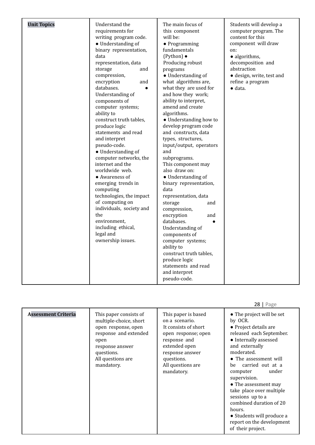| <b>Unit Topics</b> | Understand the<br>requirements for<br>writing program code.<br>• Understanding of<br>binary representation,<br>data<br>representation, data<br>storage<br>and<br>compression,<br>encryption<br>and<br>databases.<br>$\bullet$<br>Understanding of<br>components of<br>computer systems;<br>ability to<br>construct truth tables,<br>produce logic<br>statements and read<br>and interpret<br>pseudo-code.<br>· Understanding of<br>computer networks, the<br>internet and the<br>worldwide web.<br>• Awareness of<br>emerging trends in<br>computing<br>technologies, the impact<br>of computing on<br>individuals, society and<br>the<br>environment.<br>including ethical,<br>legal and<br>ownership issues. | The main focus of<br>this component<br>will be:<br>$\bullet$ Programming<br>fundamentals<br>$(Python)$ $\bullet$<br>Producing robust<br>programs<br>• Understanding of<br>what algorithms are,<br>what they are used for<br>and how they work;<br>ability to interpret,<br>amend and create<br>algorithms.<br>• Understanding how to<br>develop program code<br>and constructs, data<br>types, structures,<br>input/output, operators<br>and<br>subprograms.<br>This component may<br>also draw on:<br>• Understanding of<br>binary representation,<br>data<br>representation, data<br>storage<br>and<br>compression,<br>encryption<br>and<br>databases.<br>Understanding of<br>components of<br>computer systems;<br>ability to<br>construct truth tables,<br>produce logic | Students will develop a<br>computer program. The<br>content for this<br>component will draw<br>on:<br>· algorithms,<br>decomposition and<br>abstraction<br>· design, write, test and<br>refine a program<br>$\bullet$ data. |
|--------------------|----------------------------------------------------------------------------------------------------------------------------------------------------------------------------------------------------------------------------------------------------------------------------------------------------------------------------------------------------------------------------------------------------------------------------------------------------------------------------------------------------------------------------------------------------------------------------------------------------------------------------------------------------------------------------------------------------------------|------------------------------------------------------------------------------------------------------------------------------------------------------------------------------------------------------------------------------------------------------------------------------------------------------------------------------------------------------------------------------------------------------------------------------------------------------------------------------------------------------------------------------------------------------------------------------------------------------------------------------------------------------------------------------------------------------------------------------------------------------------------------------|-----------------------------------------------------------------------------------------------------------------------------------------------------------------------------------------------------------------------------|
|                    |                                                                                                                                                                                                                                                                                                                                                                                                                                                                                                                                                                                                                                                                                                                | statements and read<br>and interpret<br>pseudo-code.                                                                                                                                                                                                                                                                                                                                                                                                                                                                                                                                                                                                                                                                                                                         |                                                                                                                                                                                                                             |

|                            |                                                                                                                                                                              |                                                                                                                                                                                           | $20$   $rage$                                                                                                                                                                                                                                                                                                                                                                                                                          |
|----------------------------|------------------------------------------------------------------------------------------------------------------------------------------------------------------------------|-------------------------------------------------------------------------------------------------------------------------------------------------------------------------------------------|----------------------------------------------------------------------------------------------------------------------------------------------------------------------------------------------------------------------------------------------------------------------------------------------------------------------------------------------------------------------------------------------------------------------------------------|
| <b>Assessment Criteria</b> | This paper consists of<br>multiple-choice, short<br>open response, open<br>response and extended<br>open<br>response answer<br>questions.<br>All questions are<br>mandatory. | This paper is based<br>on a scenario.<br>It consists of short<br>open response; open<br>response and<br>extended open<br>response answer<br>questions.<br>All questions are<br>mandatory. | • The project will be set<br>by OCR.<br>• Project details are<br>released each September.<br>• Internally assessed<br>and externally<br>moderated.<br>• The assessment will<br>carried out at a<br>be<br>under<br>computer<br>supervision.<br>• The assessment may<br>take place over multiple<br>sessions up to a<br>combined duration of 20<br>hours.<br>• Students will produce a<br>report on the development<br>of their project. |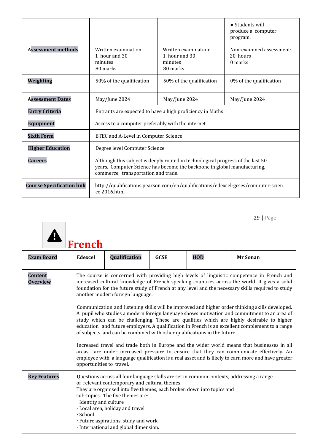|                                  |                                                                                                                                                                                                    |                                                                                  | $\bullet$ Students will<br>produce a computer<br>program. |  |  |
|----------------------------------|----------------------------------------------------------------------------------------------------------------------------------------------------------------------------------------------------|----------------------------------------------------------------------------------|-----------------------------------------------------------|--|--|
| <b>Assessment methods</b>        | Written examination:<br>1 hour and 30<br>minutes<br>80 marks                                                                                                                                       | Written examination:<br>1 hour and 30<br>minutes<br>80 marks                     | Non-examined assessment:<br>20 hours<br>0 marks           |  |  |
| Weighting                        | 50% of the qualification                                                                                                                                                                           | 50% of the qualification                                                         | 0% of the qualification                                   |  |  |
| <b>Assessment Dates</b>          | May/June 2024                                                                                                                                                                                      | May/June 2024                                                                    | May/June 2024                                             |  |  |
| <b>Entry Criteria</b>            | Entrants are expected to have a high proficiency in Maths                                                                                                                                          |                                                                                  |                                                           |  |  |
| <b>Equipment</b>                 | Access to a computer preferably with the internet                                                                                                                                                  |                                                                                  |                                                           |  |  |
| <b>Sixth Form</b>                | BTEC and A-Level in Computer Science                                                                                                                                                               |                                                                                  |                                                           |  |  |
| <b>Higher Education</b>          | Degree level Computer Science                                                                                                                                                                      |                                                                                  |                                                           |  |  |
| <b>Careers</b>                   | Although this subject is deeply rooted in technological progress of the last 50<br>years, Computer Science has become the backbone in global manufacturing,<br>commerce, transportation and trade. |                                                                                  |                                                           |  |  |
| <b>Course Specification link</b> | ce 2016.html                                                                                                                                                                                       | http://qualifications.pearson.com/en/qualifications/edexcel-gcses/computer-scien |                                                           |  |  |



| <b>Exam Board</b>                 | Edexcel                                                                                                                                                                                                                                                                                                                                                                                                                                                                                                                                                                                                                                                                                                                                                                                                                                                                                                       | Qualification                                                                                                                                                                                                                                                                                                                                                               | <b>GCSE</b> | <b>HOD</b> | <b>Mr Sonan</b> |  |  |
|-----------------------------------|---------------------------------------------------------------------------------------------------------------------------------------------------------------------------------------------------------------------------------------------------------------------------------------------------------------------------------------------------------------------------------------------------------------------------------------------------------------------------------------------------------------------------------------------------------------------------------------------------------------------------------------------------------------------------------------------------------------------------------------------------------------------------------------------------------------------------------------------------------------------------------------------------------------|-----------------------------------------------------------------------------------------------------------------------------------------------------------------------------------------------------------------------------------------------------------------------------------------------------------------------------------------------------------------------------|-------------|------------|-----------------|--|--|
| <b>Content</b><br><b>Overview</b> | The course is concerned with providing high levels of linguistic competence in French and<br>increased cultural knowledge of French speaking countries across the world. It gives a solid<br>foundation for the future study of French at any level and the necessary skills required to study<br>another modern foreign language.<br>Communication and listening skills will be improved and higher order thinking skills developed.<br>A pupil who studies a modern foreign language shows motivation and commitment to an area of<br>study which can be challenging. These are qualities which are highly desirable to higher<br>education and future employers. A qualification in French is an excellent complement to a range<br>of subjects and can be combined with other qualifications in the future.<br>Increased travel and trade both in Europe and the wider world means that businesses in all |                                                                                                                                                                                                                                                                                                                                                                             |             |            |                 |  |  |
|                                   |                                                                                                                                                                                                                                                                                                                                                                                                                                                                                                                                                                                                                                                                                                                                                                                                                                                                                                               | areas are under increased pressure to ensure that they can communicate effectively. An<br>employee with a language qualification is a real asset and is likely to earn more and have greater<br>opportunities to travel.                                                                                                                                                    |             |            |                 |  |  |
| <b>Key Features</b>               | · Identity and culture<br>$\cdot$ School                                                                                                                                                                                                                                                                                                                                                                                                                                                                                                                                                                                                                                                                                                                                                                                                                                                                      | Questions across all four language skills are set in common contexts, addressing a range<br>of relevant contemporary and cultural themes.<br>They are organised into five themes, each broken down into topics and<br>sub-topics. The five themes are:<br>· Local area, holiday and travel<br>· Future aspirations, study and work<br>· International and global dimension. |             |            |                 |  |  |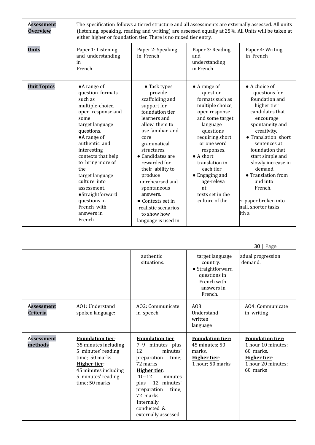| <b>Assessment</b><br><b>Overview</b> | The specification follows a tiered structure and all assessments are externally assessed. All units<br>(listening, speaking, reading and writing) are assessed equally at 25%. All Units will be taken at<br>either higher or foundation tier. There is no mixed tier entry.                                                                                        |                                                                                                                                                                                                                                                                                                                                                                            |                                                                                                                                                                                                                                                                                                                      |                                                                                                                                                                                                                                                                                                                                                         |  |  |  |
|--------------------------------------|---------------------------------------------------------------------------------------------------------------------------------------------------------------------------------------------------------------------------------------------------------------------------------------------------------------------------------------------------------------------|----------------------------------------------------------------------------------------------------------------------------------------------------------------------------------------------------------------------------------------------------------------------------------------------------------------------------------------------------------------------------|----------------------------------------------------------------------------------------------------------------------------------------------------------------------------------------------------------------------------------------------------------------------------------------------------------------------|---------------------------------------------------------------------------------------------------------------------------------------------------------------------------------------------------------------------------------------------------------------------------------------------------------------------------------------------------------|--|--|--|
| <b>Units</b>                         | Paper 1: Listening<br>and understanding<br>in<br>French                                                                                                                                                                                                                                                                                                             | Paper 2: Speaking<br>in French                                                                                                                                                                                                                                                                                                                                             | Paper 3: Reading<br>and<br>understanding<br>in French                                                                                                                                                                                                                                                                | Paper 4: Writing<br>in French                                                                                                                                                                                                                                                                                                                           |  |  |  |
| <b>Unit Topics</b>                   | •A range of<br>question formats<br>such as<br>multiple-choice,<br>open response and<br>some<br>target language<br>questions.<br>$\bullet$ A range of<br>authentic and<br>interesting<br>contexts that help<br>to bring more of<br>the<br>target language<br>culture into<br>assessment.<br>·Straightforward<br>questions in<br>French with<br>answers in<br>French. | • Task types<br>provide<br>scaffolding and<br>support for<br>foundation tier<br>learners and<br>allow them to<br>use familiar and<br>core<br>grammatical<br>structures.<br>• Candidates are<br>rewarded for<br>their ability to<br>produce<br>unrehearsed and<br>spontaneous<br>answers.<br>• Contexts set in<br>realistic scenarios<br>to show how<br>language is used in | $\bullet$ A range of<br>question<br>formats such as<br>multiple choice,<br>open response<br>and some target<br>language<br>questions<br>requiring short<br>or one word<br>responses.<br>$\bullet$ A short<br>translation in<br>each tier<br>• Engaging and<br>age-releva<br>nt<br>texts set in the<br>culture of the | • A choice of<br>questions for<br>foundation and<br>higher tier<br>candidates that<br>encourage<br>spontaneity and<br>creativity.<br>• Translation: short<br>sentences at<br>foundation that<br>start simple and<br>slowly increase in<br>demand.<br>• Translation from<br>and into<br>French.<br>er paper broken into<br>nall, shorter tasks<br>lith a |  |  |  |

|                                      |                                                                                                                                                                                |                                                                                                                                                                                                                                                                        |                                                                                                          | 30   Page                                                                                                           |
|--------------------------------------|--------------------------------------------------------------------------------------------------------------------------------------------------------------------------------|------------------------------------------------------------------------------------------------------------------------------------------------------------------------------------------------------------------------------------------------------------------------|----------------------------------------------------------------------------------------------------------|---------------------------------------------------------------------------------------------------------------------|
|                                      |                                                                                                                                                                                | authentic<br>situations.                                                                                                                                                                                                                                               | target language<br>country.<br>• Straightforward<br>questions in<br>French with<br>answers in<br>French. | adual progression<br>demand.                                                                                        |
| <b>Assessment</b><br><b>Criteria</b> | AO1: Understand<br>spoken language:                                                                                                                                            | AO2: Communicate<br>in speech.                                                                                                                                                                                                                                         | AO3:<br>Understand<br>written<br>language                                                                | A04: Communicate<br>in writing                                                                                      |
| <b>Assessment</b><br>methods         | <b>Foundation tier:</b><br>35 minutes including<br>5 minutes' reading<br>time; 50 marks<br><b>Higher tier:</b><br>45 minutes including<br>5 minutes' reading<br>time; 50 marks | <b>Foundation tier:</b><br>$7 - 9$<br>minutes plus<br>12<br>minutes'<br>preparation<br>time:<br>72 marks<br><b>Higher tier:</b><br>$10 - 12$<br>minutes<br>12 minutes'<br>plus<br>preparation<br>time:<br>72 marks<br>Internally<br>conducted &<br>externally assessed | <b>Foundation tier:</b><br>45 minutes; 50<br>marks.<br><b>Higher tier:</b><br>1 hour; 50 marks           | <b>Foundation tier:</b><br>1 hour 10 minutes;<br>60 marks.<br><b>Higher tier:</b><br>1 hour 20 minutes;<br>60 marks |

 $20 \mid p_0$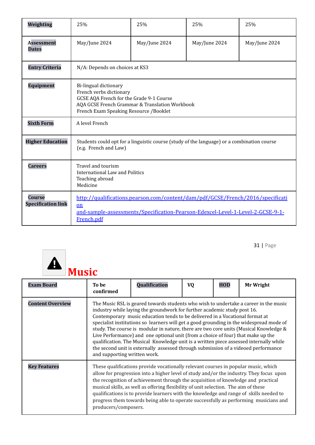| Weighting                                  | 25%                                                                                                                                                                                      | 25%           | 25%           | 25%           |  |  |  |
|--------------------------------------------|------------------------------------------------------------------------------------------------------------------------------------------------------------------------------------------|---------------|---------------|---------------|--|--|--|
| <b>Assessment</b><br><b>Dates</b>          | May/June 2024                                                                                                                                                                            | May/June 2024 | May/June 2024 | May/June 2024 |  |  |  |
| <b>Entry Criteria</b>                      | N/A: Depends on choices at KS3                                                                                                                                                           |               |               |               |  |  |  |
| <b>Equipment</b>                           | Bi-lingual dictionary<br>French verbs dictionary<br>GCSE AQA French for the Grade 9-1 Course<br>AQA GCSE French Grammar & Translation Workbook<br>French Exam Speaking Resource /Booklet |               |               |               |  |  |  |
| <b>Sixth Form</b>                          | A level French                                                                                                                                                                           |               |               |               |  |  |  |
| <b>Higher Education</b>                    | Students could opt for a linguistic course (study of the language) or a combination course<br>(e.g. French and Law)                                                                      |               |               |               |  |  |  |
| <b>Careers</b>                             | Travel and tourism<br>International Law and Politics<br>Teaching abroad<br>Medicine                                                                                                      |               |               |               |  |  |  |
| <b>Course</b><br><b>Specification link</b> | http://qualifications.pearson.com/content/dam/pdf/GCSE/French/2016/specificati<br>on<br>and-sample-assessments/Specification-Pearson-Edexcel-Level-1-Level-2-GCSE-9-1-<br>French.pdf     |               |               |               |  |  |  |



| <b>Exam Board</b>       | To be<br>confirmed                                                                                                                                                                                                                                                                                                                                                                                                                                                                                                                                                                                                                                                                                                                       | Qualification                                                                                                                                                                                                                                                                                                                                                                                                                                                                                                                               | <b>VQ</b> | HOD | Mr Wright |  |
|-------------------------|------------------------------------------------------------------------------------------------------------------------------------------------------------------------------------------------------------------------------------------------------------------------------------------------------------------------------------------------------------------------------------------------------------------------------------------------------------------------------------------------------------------------------------------------------------------------------------------------------------------------------------------------------------------------------------------------------------------------------------------|---------------------------------------------------------------------------------------------------------------------------------------------------------------------------------------------------------------------------------------------------------------------------------------------------------------------------------------------------------------------------------------------------------------------------------------------------------------------------------------------------------------------------------------------|-----------|-----|-----------|--|
| <b>Content Overview</b> | The Music RSL is geared towards students who wish to undertake a career in the music<br>industry while laying the groundwork for further academic study post 16.<br>Contemporary music education tends to be delivered in a Vocational format at<br>specialist institutions so learners will get a good grounding in the widespread mode of<br>study. The course is modular in nature, there are two core units (Musical Knowledge &<br>Live Performance) and one optional unit (from a choice of four) that make up the<br>qualification. The Musical Knowledge unit is a written piece assessed internally while<br>the second unit is externally assessed through submission of a videoed performance<br>and supporting written work. |                                                                                                                                                                                                                                                                                                                                                                                                                                                                                                                                             |           |     |           |  |
| <b>Key Features</b>     | producers/composers.                                                                                                                                                                                                                                                                                                                                                                                                                                                                                                                                                                                                                                                                                                                     | These qualifications provide vocationally relevant courses in popular music, which<br>allow for progression into a higher level of study and/or the industry. They focus upon<br>the recognition of achievement through the acquisition of knowledge and practical<br>musical skills, as well as offering flexibility of unit selection. The aim of these<br>qualifications is to provide learners with the knowledge and range of skills needed to<br>progress them towards being able to operate successfully as performing musicians and |           |     |           |  |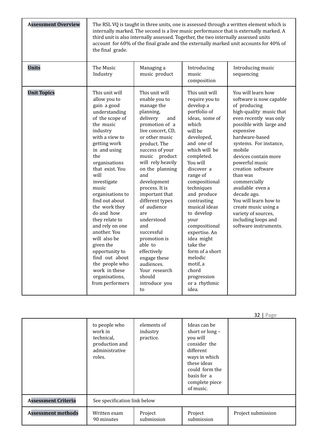| <b>Assessment Overview</b> | the final grade.                                                                                                                                                                                                                                                                                                                                                                                                                                                                                           | third unit is also internally assessed. Together, the two internally assessed units                                                                                                                                                                                                                                                                                                                                                                                                                |                                                                                                                                                                                                                                                                                                                                                                                                                                                                  | The RSL VQ is taught in three units, one is assessed through a written element which is<br>internally marked. The second is a live music performance that is externally marked. A<br>account for 60% of the final grade and the externally marked unit accounts for 40% of                                                                                                                                                                                             |
|----------------------------|------------------------------------------------------------------------------------------------------------------------------------------------------------------------------------------------------------------------------------------------------------------------------------------------------------------------------------------------------------------------------------------------------------------------------------------------------------------------------------------------------------|----------------------------------------------------------------------------------------------------------------------------------------------------------------------------------------------------------------------------------------------------------------------------------------------------------------------------------------------------------------------------------------------------------------------------------------------------------------------------------------------------|------------------------------------------------------------------------------------------------------------------------------------------------------------------------------------------------------------------------------------------------------------------------------------------------------------------------------------------------------------------------------------------------------------------------------------------------------------------|------------------------------------------------------------------------------------------------------------------------------------------------------------------------------------------------------------------------------------------------------------------------------------------------------------------------------------------------------------------------------------------------------------------------------------------------------------------------|
| <b>Units</b>               | The Music<br>Industry                                                                                                                                                                                                                                                                                                                                                                                                                                                                                      | Managing a<br>music product                                                                                                                                                                                                                                                                                                                                                                                                                                                                        | Introducing<br>music<br>composition                                                                                                                                                                                                                                                                                                                                                                                                                              | Introducing music<br>sequencing                                                                                                                                                                                                                                                                                                                                                                                                                                        |
| <b>Unit Topics</b>         | This unit will<br>allow you to<br>gain a good<br>understanding<br>of the scope of<br>the music<br>industry<br>with a view to<br>getting work<br>in and using<br>the<br>organisations<br>that exist. You<br>will<br>investigate<br>music<br>organisations to<br>find out about<br>the work they<br>do and how<br>they relate to<br>and rely on one<br>another. You<br>will also be<br>given the<br>opportunity to<br>find out about<br>the people who<br>work in these<br>organisations,<br>from performers | This unit will<br>enable you to<br>manage the<br>planning,<br>delivery<br>and<br>promotion of a<br>live concert, CD,<br>or other music<br>product. The<br>success of your<br>music product<br>will rely heavily<br>on the planning<br>and<br>development<br>process. It is<br>important that<br>different types<br>of audience<br>are<br>understood<br>and<br>successful<br>promotion is<br>able to<br>effectively<br>engage these<br>audiences.<br>Your research<br>should<br>introduce you<br>to | This unit will<br>require you to<br>develop a<br>portfolio of<br>ideas, some of<br>which<br>will be<br>developed,<br>and one of<br>which will be<br>completed.<br>You will<br>discover a<br>range of<br>compositional<br>techniques<br>and produce<br>contrasting<br>musical ideas<br>to develop<br>your<br>compositional<br>expertise. An<br>idea might<br>take the<br>form of a short<br>melodic<br>motif, a<br>chord<br>progression<br>or a rhythmic<br>idea. | You will learn how<br>software is now capable<br>of producing<br>high-quality music that<br>even recently was only<br>possible with large and<br>expensive<br>hardware-based<br>systems. For instance,<br>mobile<br>devices contain more<br>powerful music<br>creation software<br>than was<br>commercially<br>available even a<br>decade ago.<br>You will learn how to<br>create music using a<br>variety of sources,<br>including loops and<br>software instruments. |

|                            |                                                                                      |                                      |                                                                                                                                                                         | $52$   $185$       |
|----------------------------|--------------------------------------------------------------------------------------|--------------------------------------|-------------------------------------------------------------------------------------------------------------------------------------------------------------------------|--------------------|
|                            | to people who<br>work in<br>technical,<br>production and<br>administrative<br>roles. | elements of<br>industry<br>practice. | Ideas can be<br>short or long-<br>you will<br>consider the<br>different<br>ways in which<br>these ideas<br>could form the<br>basis for a<br>complete piece<br>of music. |                    |
| <b>Assessment Criteria</b> | See specification link below                                                         |                                      |                                                                                                                                                                         |                    |
| <b>Assessment methods</b>  | Written exam<br>90 minutes                                                           | Project<br>submission                | Project<br>submission                                                                                                                                                   | Project submission |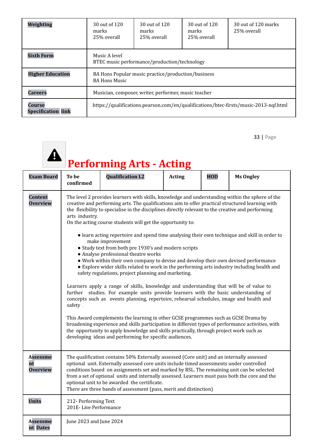| Weighting                           | 30 out of 120<br>marks<br>25% overall                                                | 30 out of 120<br>marks<br>25% overall | 30 out of 120<br>marks<br>25\% overall | 30 out of 120 marks<br>25% overall |  |  |
|-------------------------------------|--------------------------------------------------------------------------------------|---------------------------------------|----------------------------------------|------------------------------------|--|--|
| <b>Sixth Form</b>                   | Music A level<br>BTEC music performance/production/technology                        |                                       |                                        |                                    |  |  |
| <b>Higher Education</b>             | BA Hons Popular music practice/production/business<br><b>BA Hons Music</b>           |                                       |                                        |                                    |  |  |
| <b>Careers</b>                      | Musician, composer, writer, performer, music teacher                                 |                                       |                                        |                                    |  |  |
| Course<br><b>Specification link</b> | https://qualifications.pearson.com/en/qualifications/btec-firsts/music-2013-nqf.html |                                       |                                        |                                    |  |  |

| <b>A</b> Performing Arts - Actin |
|----------------------------------|

| <b>Exam Board</b>                        | To be<br>confirmed                            | <b>Qualification L2</b>                                                                                                                                                                                                                                                                                                                                                                                                                                                                                                                                                                                                                                                                                                                                                                                                                                                                                                                                                                                                                                                                                                                                                                                                                                                                                                                                                                                                                                              | <b>Acting</b> | <b>HOD</b> | <b>Ms Ongley</b> |  |  |
|------------------------------------------|-----------------------------------------------|----------------------------------------------------------------------------------------------------------------------------------------------------------------------------------------------------------------------------------------------------------------------------------------------------------------------------------------------------------------------------------------------------------------------------------------------------------------------------------------------------------------------------------------------------------------------------------------------------------------------------------------------------------------------------------------------------------------------------------------------------------------------------------------------------------------------------------------------------------------------------------------------------------------------------------------------------------------------------------------------------------------------------------------------------------------------------------------------------------------------------------------------------------------------------------------------------------------------------------------------------------------------------------------------------------------------------------------------------------------------------------------------------------------------------------------------------------------------|---------------|------------|------------------|--|--|
| <b>Content</b><br><b>Overview</b>        | arts industry.<br>safety.                     | The level 2 provides learners with skills, knowledge and understanding within the sphere of the<br>creative and performing arts. The qualifications aim to offer practical structured learning with<br>the flexibility to specialise in the disciplines directly relevant to the creative and performing<br>On the acting course students will get the opportunity to:<br>• learn acting repertoire and spend time analysing their own technique and skill in order to<br>make improvement<br>• Study text from both pre 1930's and modern scripts<br>• Analyse professional theatre works<br>• Work within their own company to devise and develop their own devised performance<br>• Explore wider skills related to work in the performing arts industry including health and<br>safety regulations, project planning and marketing.<br>Learners apply a range of skills, knowledge and understanding that will be of value to<br>further studies. For example units provide learners with the basic understanding of<br>concepts such as events planning, repertoire, rehearsal schedules, image and health and<br>This Award complements the learning in other GCSE programmes such as GCSE Drama by<br>broadening experience and skills participation in different types of performance activities, with<br>the opportunity to apply knowledge and skills practically, through project work such as<br>developing ideas and performing for specific audiences. |               |            |                  |  |  |
| <b>Assessme</b><br>nt<br><b>Overview</b> |                                               | The qualification contains 50% Externally assessed (Core unit) and an internally assessed<br>optional unit. Externally assessed core units include timed assessments under controlled<br>conditions based on assignments set and marked by RSL. The remaining unit can be selected<br>from a set of optional units and internally assessed. Learners must pass both the core and the<br>optional unit to be awarded the certificate.<br>There are three bands of assessment (pass, merit and distinction)                                                                                                                                                                                                                                                                                                                                                                                                                                                                                                                                                                                                                                                                                                                                                                                                                                                                                                                                                            |               |            |                  |  |  |
| <b>Units</b>                             | 212- Performing Text<br>201E-Live Performance |                                                                                                                                                                                                                                                                                                                                                                                                                                                                                                                                                                                                                                                                                                                                                                                                                                                                                                                                                                                                                                                                                                                                                                                                                                                                                                                                                                                                                                                                      |               |            |                  |  |  |
| <b>Assessme</b><br>nt Dates              | June 2023 and June 2024                       |                                                                                                                                                                                                                                                                                                                                                                                                                                                                                                                                                                                                                                                                                                                                                                                                                                                                                                                                                                                                                                                                                                                                                                                                                                                                                                                                                                                                                                                                      |               |            |                  |  |  |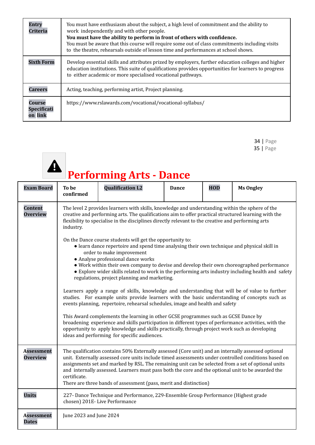| Entrv<br><b>Criteria</b>         | You must have enthusiasm about the subject, a high level of commitment and the ability to<br>work independently and with other people.<br>You must have the ability to perform in front of others with confidence.<br>You must be aware that this course will require some out of class commitments including visits<br>to the theatre, rehearsals outside of lesson time and performances at school shows. |
|----------------------------------|-------------------------------------------------------------------------------------------------------------------------------------------------------------------------------------------------------------------------------------------------------------------------------------------------------------------------------------------------------------------------------------------------------------|
| <b>Sixth Form</b>                | Develop essential skills and attributes prized by employers, further education colleges and higher<br>education institutions. This suite of qualifications provides opportunities for learners to progress<br>to either academic or more specialised vocational pathways.                                                                                                                                   |
| <b>Careers</b>                   | Acting, teaching, performing artist, Project planning.                                                                                                                                                                                                                                                                                                                                                      |
| Course<br>Specificati<br>on link | https://www.rslawards.com/vocational/vocational-syllabus/                                                                                                                                                                                                                                                                                                                                                   |

34 | Page 35 | Page

## **Performing Arts - Dance**

| <b>Exam Board</b>                    | To be<br>confirmed                                                                                                                                                                                                                                                                                                         | <b>Qualification L2</b>                                                                                                                                                                                                                                                                                                                                                                                                                                                                                                                                                                                                                                                                                                                                                                                                                                                                                                                                                                                                                                                                                            | <b>Dance</b> | <b>HOD</b> | <b>Ms Ongley</b> |  |  |
|--------------------------------------|----------------------------------------------------------------------------------------------------------------------------------------------------------------------------------------------------------------------------------------------------------------------------------------------------------------------------|--------------------------------------------------------------------------------------------------------------------------------------------------------------------------------------------------------------------------------------------------------------------------------------------------------------------------------------------------------------------------------------------------------------------------------------------------------------------------------------------------------------------------------------------------------------------------------------------------------------------------------------------------------------------------------------------------------------------------------------------------------------------------------------------------------------------------------------------------------------------------------------------------------------------------------------------------------------------------------------------------------------------------------------------------------------------------------------------------------------------|--------------|------------|------------------|--|--|
| <b>Content</b><br><b>Overview</b>    | The level 2 provides learners with skills, knowledge and understanding within the sphere of the<br>creative and performing arts. The qualifications aim to offer practical structured learning with the<br>flexibility to specialise in the disciplines directly relevant to the creative and performing arts<br>industry. |                                                                                                                                                                                                                                                                                                                                                                                                                                                                                                                                                                                                                                                                                                                                                                                                                                                                                                                                                                                                                                                                                                                    |              |            |                  |  |  |
|                                      |                                                                                                                                                                                                                                                                                                                            | On the Dance course students will get the opportunity to:<br>• learn dance repertoire and spend time analysing their own technique and physical skill in<br>order to make improvement<br>• Analyse professional dance works<br>• Work within their own company to devise and develop their own choreographed performance<br>• Explore wider skills related to work in the performing arts industry including health and safety<br>regulations, project planning and marketing.<br>Learners apply a range of skills, knowledge and understanding that will be of value to further<br>studies. For example units provide learners with the basic understanding of concepts such as<br>events planning, repertoire, rehearsal schedules, image and health and safety<br>This Award complements the learning in other GCSE programmes such as GCSE Dance by<br>broadening experience and skills participation in different types of performance activities, with the<br>opportunity to apply knowledge and skills practically, through project work such as developing<br>ideas and performing for specific audiences. |              |            |                  |  |  |
| <b>Assessment</b><br><b>Overview</b> | certificate.                                                                                                                                                                                                                                                                                                               | The qualification contains 50% Externally assessed (Core unit) and an internally assessed optional<br>unit. Externally assessed core units include timed assessments under controlled conditions based on<br>assignments set and marked by RSL. The remaining unit can be selected from a set of optional units<br>and internally assessed. Learners must pass both the core and the optional unit to be awarded the<br>There are three bands of assessment (pass, merit and distinction)                                                                                                                                                                                                                                                                                                                                                                                                                                                                                                                                                                                                                          |              |            |                  |  |  |
| <b>Units</b>                         |                                                                                                                                                                                                                                                                                                                            | 227- Dance Technique and Performance, 229-Ensemble Group Performance (Highest grade<br>chosen) 201E-Live Performance                                                                                                                                                                                                                                                                                                                                                                                                                                                                                                                                                                                                                                                                                                                                                                                                                                                                                                                                                                                               |              |            |                  |  |  |
| <b>Assessment</b><br><b>Dates</b>    | June 2023 and June 2024                                                                                                                                                                                                                                                                                                    |                                                                                                                                                                                                                                                                                                                                                                                                                                                                                                                                                                                                                                                                                                                                                                                                                                                                                                                                                                                                                                                                                                                    |              |            |                  |  |  |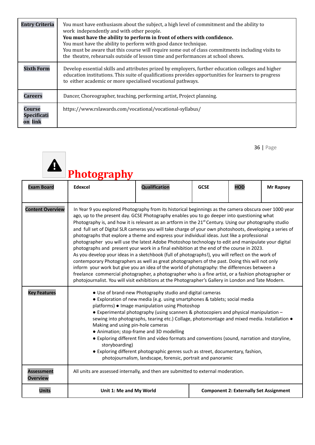| <b>Entry Criteria</b>                   | You must have enthusiasm about the subject, a high level of commitment and the ability to<br>work independently and with other people.<br>You must have the ability to perform in front of others with confidence.<br>You must have the ability to perform with good dance technique.<br>You must be aware that this course will require some out of class commitments including visits to<br>the theatre, rehearsals outside of lesson time and performances at school shows. |
|-----------------------------------------|--------------------------------------------------------------------------------------------------------------------------------------------------------------------------------------------------------------------------------------------------------------------------------------------------------------------------------------------------------------------------------------------------------------------------------------------------------------------------------|
| <b>Sixth Form</b>                       | Develop essential skills and attributes prized by employers, further education colleges and higher<br>education institutions. This suite of qualifications provides opportunities for learners to progress<br>to either academic or more specialised vocational pathways.                                                                                                                                                                                                      |
| <b>Careers</b>                          | Dancer, Choreographer, teaching, performing artist, Project planning.                                                                                                                                                                                                                                                                                                                                                                                                          |
| Course<br><b>Specificati</b><br>on link | https://www.rslawards.com/vocational/vocational-syllabus/                                                                                                                                                                                                                                                                                                                                                                                                                      |

|                                      | Photography                                                                                                                                                                                                                                                                                                                                                                                                                                                                                                                                                                                                                                                                                                                                                                                                                                                                                                                                                                                                                                                                                                                                                                                                                                                         |                                                                                                                                                                                                                                                                                                                                                                                                                                                                                                                                                                                                                                                                                     |             |                                               |                  |  |  |
|--------------------------------------|---------------------------------------------------------------------------------------------------------------------------------------------------------------------------------------------------------------------------------------------------------------------------------------------------------------------------------------------------------------------------------------------------------------------------------------------------------------------------------------------------------------------------------------------------------------------------------------------------------------------------------------------------------------------------------------------------------------------------------------------------------------------------------------------------------------------------------------------------------------------------------------------------------------------------------------------------------------------------------------------------------------------------------------------------------------------------------------------------------------------------------------------------------------------------------------------------------------------------------------------------------------------|-------------------------------------------------------------------------------------------------------------------------------------------------------------------------------------------------------------------------------------------------------------------------------------------------------------------------------------------------------------------------------------------------------------------------------------------------------------------------------------------------------------------------------------------------------------------------------------------------------------------------------------------------------------------------------------|-------------|-----------------------------------------------|------------------|--|--|
| <b>Exam Board</b>                    | <b>Edexcel</b>                                                                                                                                                                                                                                                                                                                                                                                                                                                                                                                                                                                                                                                                                                                                                                                                                                                                                                                                                                                                                                                                                                                                                                                                                                                      | Qualification                                                                                                                                                                                                                                                                                                                                                                                                                                                                                                                                                                                                                                                                       | <b>GCSE</b> | <b>HOD</b>                                    | <b>Mr Rapsey</b> |  |  |
| <b>Content Overview</b>              | In Year 9 you explored Photography from its historical beginnings as the camera obscura over 1000 year<br>ago, up to the present day. GCSE Photography enables you to go deeper into questioning what<br>Photography is, and how it is relevant as an artform in the 21 <sup>st</sup> Century. Using our photography studio<br>and full set of Digital SLR cameras you will take charge of your own photoshoots, developing a series of<br>photographs that explore a theme and express your individual ideas. Just like a professional<br>photographer you will use the latest Adobe Photoshop technology to edit and manipulate your digital<br>photographs and present your work in a final exhibition at the end of the course in 2023.<br>As you develop your ideas in a sketchbook (full of photographs!), you will reflect on the work of<br>contemporary Photographers as well as great photographers of the past. Doing this will not only<br>inform your work but give you an idea of the world of photography: the differences between a<br>freelance commercial photographer, a photographer who is a fine artist, or a fashion photographer or<br>photojournalist. You will visit exhibitions at the Photographer's Gallery in London and Tate Modern. |                                                                                                                                                                                                                                                                                                                                                                                                                                                                                                                                                                                                                                                                                     |             |                                               |                  |  |  |
| <b>Key Features</b>                  | Making and using pin-hole cameras<br>storyboarding)                                                                                                                                                                                                                                                                                                                                                                                                                                                                                                                                                                                                                                                                                                                                                                                                                                                                                                                                                                                                                                                                                                                                                                                                                 | • Use of brand-new Photography studio and digital cameras<br>• Exploration of new media (e.g. using smartphones & tablets; social media<br>platforms) • Image manipulation using Photoshop<br>• Experimental photography (using scanners & photocopiers and physical manipulation -<br>sewing into photographs, tearing etc.) Collage, photomontage and mixed media. Installation .<br>• Animation; stop-frame and 3D modelling<br>• Exploring different film and video formats and conventions (sound, narration and storyline,<br>• Exploring different photographic genres such as street, documentary, fashion,<br>photojournalism, landscape, forensic, portrait and panoramic |             |                                               |                  |  |  |
| <b>Assessment</b><br><b>Overview</b> | All units are assessed internally, and then are submitted to external moderation.                                                                                                                                                                                                                                                                                                                                                                                                                                                                                                                                                                                                                                                                                                                                                                                                                                                                                                                                                                                                                                                                                                                                                                                   |                                                                                                                                                                                                                                                                                                                                                                                                                                                                                                                                                                                                                                                                                     |             |                                               |                  |  |  |
| <b>Units</b>                         | Unit 1: Me and My World                                                                                                                                                                                                                                                                                                                                                                                                                                                                                                                                                                                                                                                                                                                                                                                                                                                                                                                                                                                                                                                                                                                                                                                                                                             |                                                                                                                                                                                                                                                                                                                                                                                                                                                                                                                                                                                                                                                                                     |             | <b>Component 2: Externally Set Assignment</b> |                  |  |  |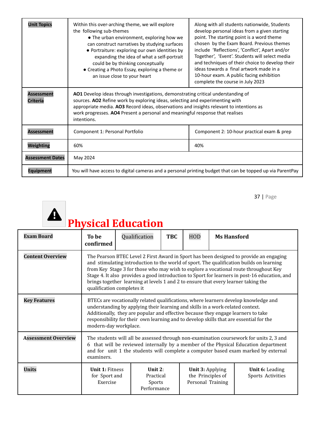| <b>Unit Topics</b>                   | Within this over-arching theme, we will explore<br>the following sub-themes<br>• The urban environment, exploring how we<br>can construct narratives by studying surfaces<br>• Portraiture: exploring our own identities by<br>expanding the idea of what a self-portrait<br>could be by thinking conceptually<br>• Creating a Photo Essay, exploring a theme or<br>an issue close to your heart | Along with all students nationwide, Students<br>develop personal ideas from a given starting<br>point. The starting point is a word theme<br>chosen by the Exam Board. Previous themes<br>include 'Reflections', 'Conflict', Apart and/or<br>Together', 'Event'. Students will select media<br>and techniques of their choice to develop their<br>ideas towards a final artwork made in a<br>10-hour exam. A public facing exhibition<br>complete the course in July 2023 |  |  |
|--------------------------------------|--------------------------------------------------------------------------------------------------------------------------------------------------------------------------------------------------------------------------------------------------------------------------------------------------------------------------------------------------------------------------------------------------|---------------------------------------------------------------------------------------------------------------------------------------------------------------------------------------------------------------------------------------------------------------------------------------------------------------------------------------------------------------------------------------------------------------------------------------------------------------------------|--|--|
| <b>Assessment</b><br><b>Criteria</b> | AO1 Develop ideas through investigations, demonstrating critical understanding of<br>sources. AO2 Refine work by exploring ideas, selecting and experimenting with<br>appropriate media. AO3 Record ideas, observations and insights relevant to intentions as<br>work progresses. AO4 Present a personal and meaningful response that realises<br>intentions.                                   |                                                                                                                                                                                                                                                                                                                                                                                                                                                                           |  |  |
| <b>Assessment</b>                    | Component 1: Personal Portfolio                                                                                                                                                                                                                                                                                                                                                                  | Component 2: 10-hour practical exam & prep                                                                                                                                                                                                                                                                                                                                                                                                                                |  |  |
| Weighting                            | 60%                                                                                                                                                                                                                                                                                                                                                                                              | 40%                                                                                                                                                                                                                                                                                                                                                                                                                                                                       |  |  |
| <b>Assessment Dates</b>              | May 2024                                                                                                                                                                                                                                                                                                                                                                                         |                                                                                                                                                                                                                                                                                                                                                                                                                                                                           |  |  |
| Eauipment                            | You will have access to digital cameras and a personal printing budget that can be topped up via ParentPay                                                                                                                                                                                                                                                                                       |                                                                                                                                                                                                                                                                                                                                                                                                                                                                           |  |  |



| <b>Exam Board</b>          | To be<br>confirmed                                                                                                                                                                                                                                                                                                                                                                                                                                                                              | Qualification | <b>TBC</b>                       | <b>HOD</b>                                                        | <b>Ms Hansford</b> |                                             |
|----------------------------|-------------------------------------------------------------------------------------------------------------------------------------------------------------------------------------------------------------------------------------------------------------------------------------------------------------------------------------------------------------------------------------------------------------------------------------------------------------------------------------------------|---------------|----------------------------------|-------------------------------------------------------------------|--------------------|---------------------------------------------|
| <b>Content Overview</b>    | The Pearson BTEC Level 2 First Award in Sport has been designed to provide an engaging<br>and stimulating introduction to the world of sport. The qualification builds on learning<br>from Key Stage 3 for those who may wish to explore a vocational route throughout Key<br>Stage 4. It also provides a good introduction to Sport for learners in post-16 education, and<br>brings together learning at levels 1 and 2 to ensure that every learner taking the<br>qualification completes it |               |                                  |                                                                   |                    |                                             |
| <b>Key Features</b>        | BTECs are vocationally related qualifications, where learners develop knowledge and<br>understanding by applying their learning and skills in a work-related context.<br>Additionally, they are popular and effective because they engage learners to take<br>responsibility for their own learning and to develop skills that are essential for the<br>modern-day workplace.                                                                                                                   |               |                                  |                                                                   |                    |                                             |
| <b>Assessment Overview</b> | The students will all be assessed through non-examination coursework for units 2, 3 and<br>6 that will be reviewed internally by a member of the Physical Education department<br>and for unit 1 the students will complete a computer based exam marked by external<br>examiners.                                                                                                                                                                                                              |               |                                  |                                                                   |                    |                                             |
| <b>Units</b>               | <b>Unit 1: Fitness</b><br>for Sport and<br>Exercise                                                                                                                                                                                                                                                                                                                                                                                                                                             | Performance   | Unit $2:$<br>Practical<br>Sports | <b>Unit 3: Applying</b><br>the Principles of<br>Personal Training |                    | <b>Unit 6:</b> Leading<br>Sports Activities |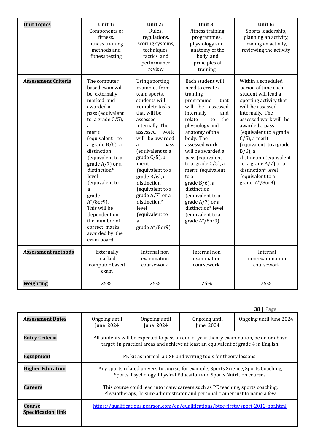| <b>Unit Topics</b>         | Unit 1:<br>Components of<br>fitness,<br>fitness training<br>methods and<br>fitness testing                                                                                                                                                                                                                                                                                                                     | Unit 2:<br>Rules,<br>regulations,<br>scoring systems,<br>techniques,<br>tactics and<br>performance<br>review                                                                                                                                                                                                                                                                                         | Unit 3:<br>Fitness training<br>programmes,<br>physiology and<br>anatomy of the<br>body and<br>principles of<br>training                                                                                                                                                                                                                                                                                                                           | Unit 6:<br>Sports leadership,<br>planning an activity,<br>leading an activity,<br>reviewing the activity                                                                                                                                                                                                                                                                             |
|----------------------------|----------------------------------------------------------------------------------------------------------------------------------------------------------------------------------------------------------------------------------------------------------------------------------------------------------------------------------------------------------------------------------------------------------------|------------------------------------------------------------------------------------------------------------------------------------------------------------------------------------------------------------------------------------------------------------------------------------------------------------------------------------------------------------------------------------------------------|---------------------------------------------------------------------------------------------------------------------------------------------------------------------------------------------------------------------------------------------------------------------------------------------------------------------------------------------------------------------------------------------------------------------------------------------------|--------------------------------------------------------------------------------------------------------------------------------------------------------------------------------------------------------------------------------------------------------------------------------------------------------------------------------------------------------------------------------------|
| <b>Assessment Criteria</b> | The computer<br>based exam will<br>be externally<br>marked and<br>awarded a<br>pass (equivalent<br>to a grade $C/5$ ),<br>a<br>merit<br>(equivalent to<br>a grade $B/6$ ), a<br>distinction<br>(equivalent to a<br>grade A/7) or a<br>distinction*<br>level<br>(equivalent to<br>a<br>grade<br>$A*/8$ or9).<br>This will be<br>dependent on<br>the number of<br>correct marks<br>awarded by the<br>exam board. | Using sporting<br>examples from<br>team sports,<br>students will<br>complete tasks<br>that will be<br>assessed<br>internally. The<br>assessed work<br>will be awarded<br>pass<br>a<br>(equivalent to a<br>grade C/5), a<br>merit<br>(equivalent to a<br>grade $B/6$ ), a<br>distinction<br>(equivalent to a<br>grade $A/7$ ) or a<br>distinction*<br>level<br>(equivalent to<br>a<br>grade A*/8or9). | Each student will<br>need to create a<br>training<br>programme<br>that<br>will be assessed<br>internally<br>and<br>relate<br>the<br>to<br>physiology and<br>anatomy of the<br>body. The<br>assessed work<br>will be awarded a<br>pass (equivalent<br>to a grade $C/5$ ), a<br>merit (equivalent<br>to a<br>grade $B/6$ ), a<br>distinction<br>(equivalent to a<br>grade $A/7$ ) or a<br>distinction* level<br>(equivalent to a<br>grade A*/8or9). | Within a scheduled<br>period of time each<br>student will lead a<br>sporting activity that<br>will be assessed<br>internally. The<br>assessed work will be<br>awarded a pass<br>(equivalent to a grade<br>$C/5$ ), a merit<br>(equivalent to a grade<br>$B/6$ , a<br>distinction (equivalent<br>to a grade $A/7$ ) or a<br>distinction* level<br>(equivalent to a<br>grade A*/8or9). |
| <b>Assessment methods</b>  | Externally<br>marked<br>computer based<br>exam                                                                                                                                                                                                                                                                                                                                                                 | Internal non<br>examination<br>coursework.                                                                                                                                                                                                                                                                                                                                                           | Internal non<br>examination<br>coursework.                                                                                                                                                                                                                                                                                                                                                                                                        | Internal<br>non-examination<br>coursework.                                                                                                                                                                                                                                                                                                                                           |
| Weighting                  | 25%                                                                                                                                                                                                                                                                                                                                                                                                            | 25%                                                                                                                                                                                                                                                                                                                                                                                                  | 25%                                                                                                                                                                                                                                                                                                                                                                                                                                               | 25%                                                                                                                                                                                                                                                                                                                                                                                  |

|                                     |                                                                                                                                                                                |                            |                            | 38 I<br>Page            |  |
|-------------------------------------|--------------------------------------------------------------------------------------------------------------------------------------------------------------------------------|----------------------------|----------------------------|-------------------------|--|
| <b>Assessment Dates</b>             | Ongoing until<br>June 2024                                                                                                                                                     | Ongoing until<br>June 2024 | Ongoing until<br>June 2024 | Ongoing until June 2024 |  |
| <b>Entry Criteria</b>               | All students will be expected to pass an end of year theory examination, be on or above<br>target in practical areas and achieve at least an equivalent of grade 4 in English. |                            |                            |                         |  |
| <b>Equipment</b>                    | PE kit as normal, a USB and writing tools for theory lessons.                                                                                                                  |                            |                            |                         |  |
| <b>Higher Education</b>             | Any sports related university course, for example, Sports Science, Sports Coaching,<br>Sports Psychology, Physical Education and Sports Nutrition courses.                     |                            |                            |                         |  |
| <b>Careers</b>                      | This course could lead into many careers such as PE teaching, sports coaching,<br>Physiotherapy, leisure administrator and personal trainer just to name a few.                |                            |                            |                         |  |
| Course<br><b>Specification link</b> | https://qualifications.pearson.com/en/qualifications/btec-firsts/sport-2012-ngf.html                                                                                           |                            |                            |                         |  |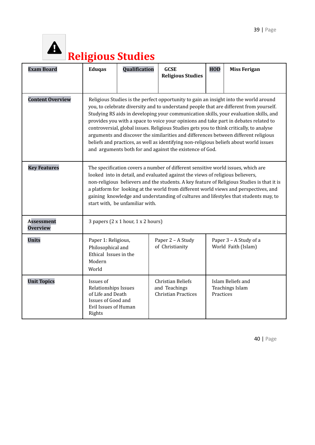

## **Religious Studies**

| <b>Exam Board</b>                    | <b>Eduqas</b>                                                                                                                                                                                                                                                                                                                                                                                                                                                                                                                                                                                                                                                                                             | Qualification                                    | <b>GCSE</b><br><b>Religious Studies</b>                          | <b>HOD</b> | <b>Miss Ferigan</b>                           |
|--------------------------------------|-----------------------------------------------------------------------------------------------------------------------------------------------------------------------------------------------------------------------------------------------------------------------------------------------------------------------------------------------------------------------------------------------------------------------------------------------------------------------------------------------------------------------------------------------------------------------------------------------------------------------------------------------------------------------------------------------------------|--------------------------------------------------|------------------------------------------------------------------|------------|-----------------------------------------------|
| <b>Content Overview</b>              | Religious Studies is the perfect opportunity to gain an insight into the world around<br>you, to celebrate diversity and to understand people that are different from yourself.<br>Studying RS aids in developing your communication skills, your evaluation skills, and<br>provides you with a space to voice your opinions and take part in debates related to<br>controversial, global issues. Religious Studies gets you to think critically, to analyse<br>arguments and discover the similarities and differences between different religious<br>beliefs and practices, as well as identifying non-religious beliefs about world issues<br>and arguments both for and against the existence of God. |                                                  |                                                                  |            |                                               |
| <b>Key Features</b>                  | The specification covers a number of different sensitive world issues, which are<br>looked into in detail, and evaluated against the views of religious believers,<br>non-religious believers and the students. A key feature of Religious Studies is that it is<br>a platform for looking at the world from different world views and perspectives, and<br>gaining knowledge and understanding of cultures and lifestyles that students may, to<br>start with, be unfamiliar with.                                                                                                                                                                                                                       |                                                  |                                                                  |            |                                               |
| <b>Assessment</b><br><b>Overview</b> |                                                                                                                                                                                                                                                                                                                                                                                                                                                                                                                                                                                                                                                                                                           | 3 papers $(2 \times 1$ hour, $1 \times 2$ hours) |                                                                  |            |                                               |
| <b>Units</b>                         | Paper 1: Religious,<br>Philosophical and<br>Ethical Issues in the<br>Modern<br>World                                                                                                                                                                                                                                                                                                                                                                                                                                                                                                                                                                                                                      |                                                  | Paper 2 - A Study<br>of Christianity                             |            | Paper 3 - A Study of a<br>World Faith (Islam) |
| <b>Unit Topics</b>                   | Issues of<br>Relationships Issues<br>of Life and Death<br>Issues of Good and<br>Evil Issues of Human<br>Rights                                                                                                                                                                                                                                                                                                                                                                                                                                                                                                                                                                                            |                                                  | Christian Beliefs<br>and Teachings<br><b>Christian Practices</b> | Practices  | Islam Beliefs and<br><b>Teachings Islam</b>   |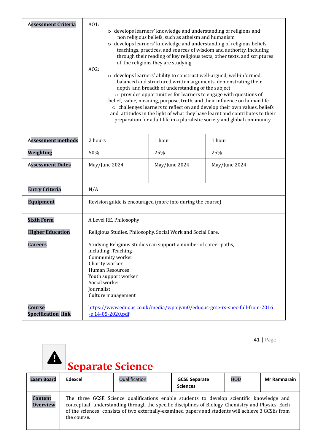| <b>Assessment Criteria</b>                 | A01:<br>o develops learners' knowledge and understanding of religions and<br>non religious beliefs, such as atheism and humanism<br>o develops learners' knowledge and understanding of religious beliefs,<br>teachings, practices, and sources of wisdom and authority, including<br>through their reading of key religious texts, other texts, and scriptures<br>of the religions they are studying<br>A02:<br>o develops learners' ability to construct well-argued, well-informed,<br>balanced and structured written arguments, demonstrating their<br>depth and breadth of understanding of the subject<br>o provides opportunities for learners to engage with questions of<br>belief, value, meaning, purpose, truth, and their influence on human life<br>o challenges learners to reflect on and develop their own values, beliefs<br>and attitudes in the light of what they have learnt and contributes to their<br>preparation for adult life in a pluralistic society and global community. |               |                                                                            |  |
|--------------------------------------------|-----------------------------------------------------------------------------------------------------------------------------------------------------------------------------------------------------------------------------------------------------------------------------------------------------------------------------------------------------------------------------------------------------------------------------------------------------------------------------------------------------------------------------------------------------------------------------------------------------------------------------------------------------------------------------------------------------------------------------------------------------------------------------------------------------------------------------------------------------------------------------------------------------------------------------------------------------------------------------------------------------------|---------------|----------------------------------------------------------------------------|--|
| <b>Assessment methods</b>                  | 2 hours                                                                                                                                                                                                                                                                                                                                                                                                                                                                                                                                                                                                                                                                                                                                                                                                                                                                                                                                                                                                   | 1 hour        | 1 hour                                                                     |  |
| Weighting                                  | 50%                                                                                                                                                                                                                                                                                                                                                                                                                                                                                                                                                                                                                                                                                                                                                                                                                                                                                                                                                                                                       | 25%           | 25%                                                                        |  |
| <b>Assessment Dates</b>                    | May/June 2024                                                                                                                                                                                                                                                                                                                                                                                                                                                                                                                                                                                                                                                                                                                                                                                                                                                                                                                                                                                             | May/June 2024 | May/June 2024                                                              |  |
| <b>Entry Criteria</b>                      | N/A                                                                                                                                                                                                                                                                                                                                                                                                                                                                                                                                                                                                                                                                                                                                                                                                                                                                                                                                                                                                       |               |                                                                            |  |
| <b>Equipment</b>                           | Revision guide is encouraged (more info during the course)                                                                                                                                                                                                                                                                                                                                                                                                                                                                                                                                                                                                                                                                                                                                                                                                                                                                                                                                                |               |                                                                            |  |
| <b>Sixth Form</b>                          | A Level RE, Philosophy                                                                                                                                                                                                                                                                                                                                                                                                                                                                                                                                                                                                                                                                                                                                                                                                                                                                                                                                                                                    |               |                                                                            |  |
| <b>Higher Education</b>                    | Religious Studies, Philosophy, Social Work and Social Care.                                                                                                                                                                                                                                                                                                                                                                                                                                                                                                                                                                                                                                                                                                                                                                                                                                                                                                                                               |               |                                                                            |  |
| <b>Careers</b>                             | Studying Religious Studies can support a number of career paths,<br>including: Teaching<br>Community worker<br>Charity worker<br>Human Resources<br>Youth support worker<br>Social worker<br>Journalist<br>Culture management                                                                                                                                                                                                                                                                                                                                                                                                                                                                                                                                                                                                                                                                                                                                                                             |               |                                                                            |  |
| <b>Course</b><br><b>Specification link</b> | -e 14-05-2020.pdf                                                                                                                                                                                                                                                                                                                                                                                                                                                                                                                                                                                                                                                                                                                                                                                                                                                                                                                                                                                         |               | https://www.eduqas.co.uk/media/wpojjym0/eduqas-gcse-rs-spec-full-from-2016 |  |

## **Separate Science**

| <b>Exam Board</b>                 | Edexcel     | Qualification                                                                                                                                                                                                                                                                                       | <b>GCSE Separate</b><br><b>Sciences</b> | <b>HOD</b> | <b>Mr Ramnarain</b> |
|-----------------------------------|-------------|-----------------------------------------------------------------------------------------------------------------------------------------------------------------------------------------------------------------------------------------------------------------------------------------------------|-----------------------------------------|------------|---------------------|
| <b>Content</b><br><b>Overview</b> | the course. | The three GCSE Science qualifications enable students to develop scientific knowledge and<br>conceptual understanding through the specific disciplines of Biology, Chemistry and Physics. Each<br>of the sciences consists of two externally-examined papers and students will achieve 3 GCSEs from |                                         |            |                     |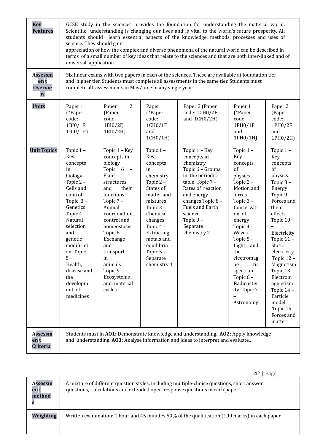| <b>Key</b><br><b>Features</b>                 | GCSE study in the sciences provides the foundation for understanding the material world.<br>Scientific understanding is changing our lives and is vital to the world's future prosperity. All<br>students should learn essential aspects of the knowledge, methods, processes and uses of<br>science. They should gain<br>appreciation of how the complex and diverse phenomena of the natural world can be described in<br>terms of a small number of key ideas that relate to the sciences and that are both inter-linked and of<br>universal application. |                                                                                                                                                                                                                                                                                                  |                                                                                                                                                                                                                                     |                                                                                                                                                                                                                                  |                                                                                                                                                                                                                                                                                              |                                                                                                                                                                                                                                                                                                                             |
|-----------------------------------------------|--------------------------------------------------------------------------------------------------------------------------------------------------------------------------------------------------------------------------------------------------------------------------------------------------------------------------------------------------------------------------------------------------------------------------------------------------------------------------------------------------------------------------------------------------------------|--------------------------------------------------------------------------------------------------------------------------------------------------------------------------------------------------------------------------------------------------------------------------------------------------|-------------------------------------------------------------------------------------------------------------------------------------------------------------------------------------------------------------------------------------|----------------------------------------------------------------------------------------------------------------------------------------------------------------------------------------------------------------------------------|----------------------------------------------------------------------------------------------------------------------------------------------------------------------------------------------------------------------------------------------------------------------------------------------|-----------------------------------------------------------------------------------------------------------------------------------------------------------------------------------------------------------------------------------------------------------------------------------------------------------------------------|
| <b>Assessm</b><br>en t<br><b>Overvie</b><br>W |                                                                                                                                                                                                                                                                                                                                                                                                                                                                                                                                                              | complete all assessments in May/June in any single year.                                                                                                                                                                                                                                         |                                                                                                                                                                                                                                     | Six linear exams with two papers in each of the sciences. These are available at foundation tier<br>and higher tier. Students must complete all assessments in the same tier. Students must                                      |                                                                                                                                                                                                                                                                                              |                                                                                                                                                                                                                                                                                                                             |
| <b>Units</b>                                  | Paper 1<br>(*Paper<br>code:<br>1BI0/1F,<br>1BI0/1H)                                                                                                                                                                                                                                                                                                                                                                                                                                                                                                          | 2<br>Paper<br>(Paper<br>code:<br>1BI0/2F,<br>1BI0/2H)                                                                                                                                                                                                                                            | Paper 1<br>(*Paper<br>code:<br>1CH0/1F<br>and<br>1CH0/1H)                                                                                                                                                                           | Paper 2 (Paper<br>code: 1CH0/2F<br>and $1CH0/2H$ )                                                                                                                                                                               | Paper 1<br>(*Paper<br>code:<br>1PH0/1F<br>and<br>1PH0/1H)                                                                                                                                                                                                                                    | Paper 2<br>(Paper<br>code:<br>1PH0/2F<br>and<br>1PH0/2H)                                                                                                                                                                                                                                                                    |
| <b>Unit Topics</b>                            | Topic $1 -$<br>Key<br>concepts<br>in<br>biology<br>Topic 2-<br>Cells and<br>control<br>Topic $3-$<br>Genetics<br>Topic 4-<br>Natural<br>selection<br>and<br>genetic<br>modificati<br>on Topic<br>$5 -$<br>Health,<br>disease and<br>the<br>developm<br>ent of<br>medicines                                                                                                                                                                                                                                                                                   | Topic 1 - Key<br>concepts in<br>biology<br>Topic $6 -$<br>Plant<br>structures<br>and<br>their<br>functions<br>Topic 7-<br>Animal<br>coordination,<br>control and<br>homeostasis<br>Topic 8-<br>Exchange<br>and<br>transport<br>in<br>animals<br>Topic 9-<br>Ecosystems<br>and material<br>cycles | Topic 1-<br>Key<br>concepts<br>in<br>chemistry<br>Topic 2-<br>States of<br>matter and<br>mixtures<br>Topic 3-<br>Chemical<br>changes<br>Topic $4-$<br>Extracting<br>metals and<br>equilibria<br>Topic 5-<br>Separate<br>chemistry 1 | Topic 1 - Key<br>concepts in<br>chemistry<br>Topic 6 - Groups<br>in the periodic<br>table Topic 7 -<br>Rates of reaction<br>and energy<br>changes Topic 8 -<br>Fuels and Earth<br>science<br>Topic 9-<br>Separate<br>chemistry 2 | Topic 1-<br>Key<br>concepts<br><sub>of</sub><br>physics<br>Topic 2-<br>Motion and<br>forces<br>Topic 3-<br>Conservati<br>on of<br>energy<br>Topic 4-<br>Waves<br>Topic 5-<br>Light and<br>the<br>electromag<br>tic<br>ne<br>spectrum<br>Topic $6-$<br>Radioactiv<br>ity Topic 7<br>Astronomy | Topic 1-<br>Key<br>concepts<br>of<br>physics<br>Topic 8-<br>Energy<br>Topic 9-<br>Forces and<br>their<br>effects<br>Topic 10<br>Electricity<br>Topic 11-<br>Static<br>electricity<br>Topic 12 -<br>Magnetism<br>Topic 13-<br>Electrom<br>agn etism<br>Topic 14 -<br>Particle<br>model<br>Topic 15 -<br>Forces and<br>matter |
| <b>Assessm</b><br>en t<br>Criteria            |                                                                                                                                                                                                                                                                                                                                                                                                                                                                                                                                                              |                                                                                                                                                                                                                                                                                                  |                                                                                                                                                                                                                                     | Students must in A01: Demonstrate knowledge and understanding A02: Apply knowledge<br>and understanding. AO3: Analyse information and ideas to interpret and evaluate                                                            |                                                                                                                                                                                                                                                                                              |                                                                                                                                                                                                                                                                                                                             |

|                                  | Page                                                                                                                                                                     |
|----------------------------------|--------------------------------------------------------------------------------------------------------------------------------------------------------------------------|
| <b>Assessm</b><br>en t<br>method | A mixture of different question styles, including multiple-choice questions, short answer<br>questions, calculations and extended open-response questions in each paper. |
| Weighting                        | Written examination: 1 hour and 45 minutes 50% of the qualification (100 marks) in each paper.                                                                           |
|                                  |                                                                                                                                                                          |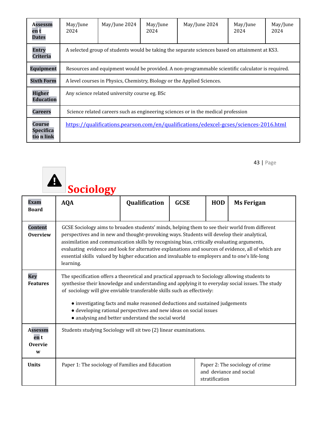| <b>Assessm</b><br>en t<br><b>Dates</b>          | May/June<br>2024                                                                      | May/June 2024                                                                                  | May/June<br>2024 | May/June 2024                                                                                    | May/June<br>2024 | May/June<br>2024 |  |
|-------------------------------------------------|---------------------------------------------------------------------------------------|------------------------------------------------------------------------------------------------|------------------|--------------------------------------------------------------------------------------------------|------------------|------------------|--|
| <b>Entry</b><br><b>Criteria</b>                 |                                                                                       | A selected group of students would be taking the separate sciences based on attainment at KS3. |                  |                                                                                                  |                  |                  |  |
| <b>Equipment</b>                                |                                                                                       |                                                                                                |                  | Resources and equipment would be provided. A non-programmable scientific calculator is required. |                  |                  |  |
| <b>Sixth Form</b>                               |                                                                                       | A level courses in Physics, Chemistry, Biology or the Applied Sciences.                        |                  |                                                                                                  |                  |                  |  |
| <b>Higher</b><br><b>Education</b>               | Any science related university course eg. BSc                                         |                                                                                                |                  |                                                                                                  |                  |                  |  |
| <b>Careers</b>                                  | Science related careers such as engineering sciences or in the medical profession     |                                                                                                |                  |                                                                                                  |                  |                  |  |
| <b>Course</b><br><b>Specifica</b><br>tio n link | https://qualifications.pearson.com/en/qualifications/edexcel-gcses/sciences-2016.html |                                                                                                |                  |                                                                                                  |                  |                  |  |

|                                               | <b>Sociology</b>                                                                                                                                                                                                                                                                                                                                                                                                                                                                                                   |               |             |                |                                                            |
|-----------------------------------------------|--------------------------------------------------------------------------------------------------------------------------------------------------------------------------------------------------------------------------------------------------------------------------------------------------------------------------------------------------------------------------------------------------------------------------------------------------------------------------------------------------------------------|---------------|-------------|----------------|------------------------------------------------------------|
| <b>Exam</b><br><b>Board</b>                   | <b>AQA</b>                                                                                                                                                                                                                                                                                                                                                                                                                                                                                                         | Qualification | <b>GCSE</b> | <b>HOD</b>     | <b>Ms Ferigan</b>                                          |
| <b>Content</b><br><b>Overview</b>             | GCSE Sociology aims to broaden students' minds, helping them to see their world from different<br>perspectives and in new and thought-provoking ways. Students will develop their analytical,<br>assimilation and communication skills by recognising bias, critically evaluating arguments,<br>evaluating evidence and look for alternative explanations and sources of evidence, all of which are<br>essential skills valued by higher education and invaluable to employers and to one's life-long<br>learning. |               |             |                |                                                            |
| <b>Key</b><br><b>Features</b>                 | The specification offers a theoretical and practical approach to Sociology allowing students to<br>synthesise their knowledge and understanding and applying it to everyday social issues. The study<br>of sociology will give enviable transferable skills such as effectively:<br>• investigating facts and make reasoned deductions and sustained judgements<br>· developing rational perspectives and new ideas on social issues<br>• analysing and better understand the social world                         |               |             |                |                                                            |
| <b>Assessm</b><br>en t<br><b>Overvie</b><br>W | Students studying Sociology will sit two (2) linear examinations.                                                                                                                                                                                                                                                                                                                                                                                                                                                  |               |             |                |                                                            |
| <b>Units</b>                                  | Paper 1: The sociology of Families and Education                                                                                                                                                                                                                                                                                                                                                                                                                                                                   |               |             | stratification | Paper 2: The sociology of crime<br>and deviance and social |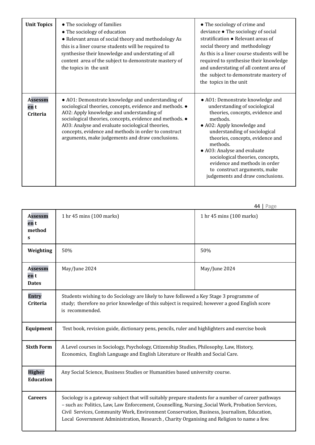| <b>Unit Topics</b>                 | • The sociology of families<br>• The sociology of education<br>• Relevant areas of social theory and methodology As<br>this is a liner course students will be required to<br>synthesise their knowledge and understating of all<br>content area of the subject to demonstrate mastery of<br>the topics in the unit                                                                    | • The sociology of crime and<br>deviance • The sociology of social<br>stratification • Relevant areas of<br>social theory and methodology<br>As this is a liner course students will be<br>required to synthesise their knowledge<br>and understating of all content area of<br>the subject to demonstrate mastery of<br>the topics in the unit                                                          |
|------------------------------------|----------------------------------------------------------------------------------------------------------------------------------------------------------------------------------------------------------------------------------------------------------------------------------------------------------------------------------------------------------------------------------------|----------------------------------------------------------------------------------------------------------------------------------------------------------------------------------------------------------------------------------------------------------------------------------------------------------------------------------------------------------------------------------------------------------|
| <b>Assessm</b><br>en t<br>Criteria | • A01: Demonstrate knowledge and understanding of<br>sociological theories, concepts, evidence and methods. .<br>AO2: Apply knowledge and understanding of<br>sociological theories, concepts, evidence and methods. .<br>AO3: Analyse and evaluate sociological theories,<br>concepts, evidence and methods in order to construct<br>arguments, make judgements and draw conclusions. | • A01: Demonstrate knowledge and<br>understanding of sociological<br>theories, concepts, evidence and<br>methods.<br>• AO2: Apply knowledge and<br>understanding of sociological<br>theories, concepts, evidence and<br>methods.<br>• A03: Analyse and evaluate<br>sociological theories, concepts,<br>evidence and methods in order<br>to construct arguments, make<br>judgements and draw conclusions. |

|                                                  |                                                                                                                                                                                                                                                                                                                                                                                                    | יהשי                     |  |  |  |
|--------------------------------------------------|----------------------------------------------------------------------------------------------------------------------------------------------------------------------------------------------------------------------------------------------------------------------------------------------------------------------------------------------------------------------------------------------------|--------------------------|--|--|--|
| <b>Assessm</b><br>en t<br>method<br>$\mathbf{s}$ | 1 hr 45 mins (100 marks)                                                                                                                                                                                                                                                                                                                                                                           | 1 hr 45 mins (100 marks) |  |  |  |
| Weighting                                        | 50%                                                                                                                                                                                                                                                                                                                                                                                                | 50%                      |  |  |  |
| <b>Assessm</b><br>en t<br><b>Dates</b>           | May/June 2024                                                                                                                                                                                                                                                                                                                                                                                      | May/June 2024            |  |  |  |
| <b>Entry</b><br>Criteria                         | Students wishing to do Sociology are likely to have followed a Key Stage 3 programme of<br>study; therefore no prior knowledge of this subject is required; however a good English score<br>is recommended.                                                                                                                                                                                        |                          |  |  |  |
| Equipment                                        | Text book, revision guide, dictionary pens, pencils, ruler and highlighters and exercise book                                                                                                                                                                                                                                                                                                      |                          |  |  |  |
| <b>Sixth Form</b>                                | A Level courses in Sociology, Psychology, Citizenship Studies, Philosophy, Law, History,<br>Economics, English Language and English Literature or Health and Social Care.                                                                                                                                                                                                                          |                          |  |  |  |
| <b>Higher</b><br><b>Education</b>                | Any Social Science, Business Studies or Humanities based university course.                                                                                                                                                                                                                                                                                                                        |                          |  |  |  |
| <b>Careers</b>                                   | Sociology is a gateway subject that will suitably prepare students for a number of career pathways<br>- such as: Politics, Law, Law Enforcement, Counselling, Nursing, Social Work, Probation Services,<br>Civil Services, Community Work, Environment Conservation, Business, Journalism, Education,<br>Local Government Administration, Research, Charity Organising and Religion to name a few. |                          |  |  |  |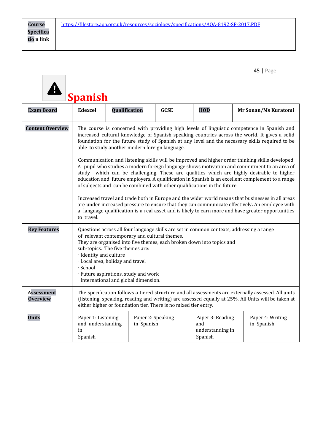|                                      | Spanish                                                                                                                                                                                                                                                                                                                                                                                                                                                                                                                                                                                                                                                                                                                                                                                                                                                                                                                                                                                                                                                                                                                                                  |               |                                 |             |                                                        |                                |
|--------------------------------------|----------------------------------------------------------------------------------------------------------------------------------------------------------------------------------------------------------------------------------------------------------------------------------------------------------------------------------------------------------------------------------------------------------------------------------------------------------------------------------------------------------------------------------------------------------------------------------------------------------------------------------------------------------------------------------------------------------------------------------------------------------------------------------------------------------------------------------------------------------------------------------------------------------------------------------------------------------------------------------------------------------------------------------------------------------------------------------------------------------------------------------------------------------|---------------|---------------------------------|-------------|--------------------------------------------------------|--------------------------------|
| <b>Exam Board</b>                    | <b>Edexcel</b>                                                                                                                                                                                                                                                                                                                                                                                                                                                                                                                                                                                                                                                                                                                                                                                                                                                                                                                                                                                                                                                                                                                                           | Qualification |                                 | <b>GCSE</b> | <b>HOD</b>                                             | Mr Sonan/Ms Kuratomi           |
| <b>Content Overview</b>              | The course is concerned with providing high levels of linguistic competence in Spanish and<br>increased cultural knowledge of Spanish speaking countries across the world. It gives a solid<br>foundation for the future study of Spanish at any level and the necessary skills required to be<br>able to study another modern foreign language.<br>Communication and listening skills will be improved and higher order thinking skills developed.<br>A pupil who studies a modern foreign language shows motivation and commitment to an area of<br>study which can be challenging. These are qualities which are highly desirable to higher<br>education and future employers. A qualification in Spanish is an excellent complement to a range<br>of subjects and can be combined with other qualifications in the future.<br>Increased travel and trade both in Europe and the wider world means that businesses in all areas<br>are under increased pressure to ensure that they can communicate effectively. An employee with<br>a language qualification is a real asset and is likely to earn more and have greater opportunities<br>to travel. |               |                                 |             |                                                        |                                |
| <b>Key Features</b>                  | Questions across all four language skills are set in common contexts, addressing a range<br>of relevant contemporary and cultural themes.<br>They are organised into five themes, each broken down into topics and<br>sub-topics. The five themes are:<br>· Identity and culture<br>· Local area, holiday and travel<br>· School<br>· Future aspirations, study and work<br>· International and global dimension.                                                                                                                                                                                                                                                                                                                                                                                                                                                                                                                                                                                                                                                                                                                                        |               |                                 |             |                                                        |                                |
| <b>Assessment</b><br><b>Overview</b> | The specification follows a tiered structure and all assessments are externally assessed. All units<br>(listening, speaking, reading and writing) are assessed equally at 25%. All Units will be taken at<br>either higher or foundation tier. There is no mixed tier entry.                                                                                                                                                                                                                                                                                                                                                                                                                                                                                                                                                                                                                                                                                                                                                                                                                                                                             |               |                                 |             |                                                        |                                |
| <b>Units</b>                         | Paper 1: Listening<br>and understanding<br>in<br>Spanish                                                                                                                                                                                                                                                                                                                                                                                                                                                                                                                                                                                                                                                                                                                                                                                                                                                                                                                                                                                                                                                                                                 |               | Paper 2: Speaking<br>in Spanish |             | Paper 3: Reading<br>and<br>understanding in<br>Spanish | Paper 4: Writing<br>in Spanish |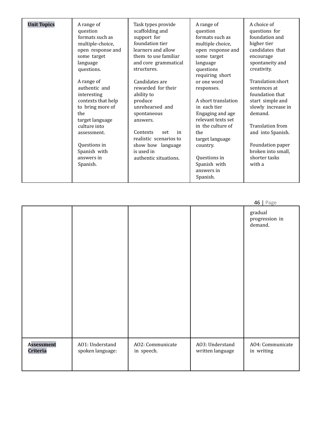| <b>Unit Topics</b> | A range of<br>question<br>formats such as<br>multiple-choice,<br>open response and<br>some target<br>language<br>questions. | Task types provide<br>scaffolding and<br>support for<br>foundation tier<br>learners and allow<br>them to use familiar<br>and core grammatical<br>structures. | A range of<br>question<br>formats such as<br>multiple choice,<br>open response and<br>some target<br>language<br>questions<br>requiring short | A choice of<br>questions for<br>foundation and<br>higher tier<br>candidates that<br>encourage<br>spontaneity and<br>creativity. |
|--------------------|-----------------------------------------------------------------------------------------------------------------------------|--------------------------------------------------------------------------------------------------------------------------------------------------------------|-----------------------------------------------------------------------------------------------------------------------------------------------|---------------------------------------------------------------------------------------------------------------------------------|
|                    | A range of<br>authentic and<br>interesting<br>contexts that help<br>to bring more of<br>the<br>target language              | Candidates are<br>rewarded for their<br>ability to<br>produce<br>unrehearsed and<br>spontaneous<br>answers.                                                  | or one word<br>responses.<br>A short translation<br>in each tier<br>Engaging and age<br>relevant texts set                                    | Translation:short<br>sentences at<br>foundation that<br>start simple and<br>slowly increase in<br>demand.                       |
|                    | culture into<br>assessment.<br>Questions in<br>Spanish with<br>answers in<br>Spanish.                                       | Contexts<br>in<br>set<br>realistic scenarios to<br>show how language<br>is used in<br>authentic situations.                                                  | in the culture of<br>the<br>target language<br>country.<br>Questions in<br>Spanish with<br>answers in<br>Spanish.                             | <b>Translation from</b><br>and into Spanish.<br>Foundation paper<br>broken into small,<br>shorter tasks<br>with a               |

|                   |                  |                  |                  | 101100<br>gradual<br>progression in<br>demand. |
|-------------------|------------------|------------------|------------------|------------------------------------------------|
| <b>Assessment</b> | A01: Understand  | AO2: Communicate | A03: Understand  | A04: Communicate                               |
| Criteria          | spoken language: | in speech.       | written language | in writing                                     |